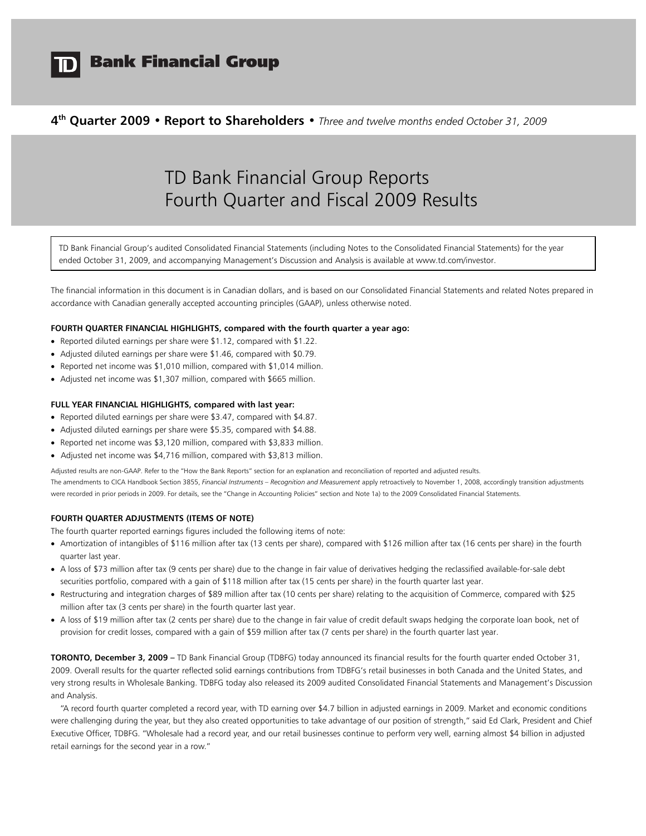

# **Bank Financial Group**

# **4th Quarter 2009 • Report to Shareholders •** *Three and twelve months ended October 31, 2009*

# TD Bank Financial Group Reports Fourth Quarter and Fiscal 2009 Results

TD Bank Financial Group's audited Consolidated Financial Statements (including Notes to the Consolidated Financial Statements) for the year ended October 31, 2009, and accompanying Management's Discussion and Analysis is available at www.td.com/investor.

The financial information in this document is in Canadian dollars, and is based on our Consolidated Financial Statements and related Notes prepared in accordance with Canadian generally accepted accounting principles (GAAP), unless otherwise noted.

## **FOURTH QUARTER FINANCIAL HIGHLIGHTS, compared with the fourth quarter a year ago:**

- Reported diluted earnings per share were \$1.12, compared with \$1.22.
- Adjusted diluted earnings per share were \$1.46, compared with \$0.79.
- Reported net income was \$1,010 million, compared with \$1,014 million.
- Adjusted net income was \$1,307 million, compared with \$665 million.

## **FULL YEAR FINANCIAL HIGHLIGHTS, compared with last year:**

- Reported diluted earnings per share were \$3.47, compared with \$4.87.
- Adjusted diluted earnings per share were \$5.35, compared with \$4.88.
- Reported net income was \$3,120 million, compared with \$3,833 million.
- Adjusted net income was \$4,716 million, compared with \$3,813 million.

Adjusted results are non-GAAP. Refer to the "How the Bank Reports" section for an explanation and reconciliation of reported and adjusted results. The amendments to CICA Handbook Section 3855, *Financial Instruments – Recognition and Measurement* apply retroactively to November 1, 2008, accordingly transition adjustments were recorded in prior periods in 2009. For details, see the "Change in Accounting Policies" section and Note 1a) to the 2009 Consolidated Financial Statements.

#### **FOURTH QUARTER ADJUSTMENTS (ITEMS OF NOTE)**

The fourth quarter reported earnings figures included the following items of note:

- Amortization of intangibles of \$116 million after tax (13 cents per share), compared with \$126 million after tax (16 cents per share) in the fourth quarter last year.
- A loss of \$73 million after tax (9 cents per share) due to the change in fair value of derivatives hedging the reclassified available-for-sale debt securities portfolio, compared with a gain of \$118 million after tax (15 cents per share) in the fourth quarter last year.
- Restructuring and integration charges of \$89 million after tax (10 cents per share) relating to the acquisition of Commerce, compared with \$25 million after tax (3 cents per share) in the fourth quarter last year.
- A loss of \$19 million after tax (2 cents per share) due to the change in fair value of credit default swaps hedging the corporate loan book, net of provision for credit losses, compared with a gain of \$59 million after tax (7 cents per share) in the fourth quarter last year.

**TORONTO, December 3, 2009 –** TD Bank Financial Group (TDBFG) today announced its financial results for the fourth quarter ended October 31, 2009. Overall results for the quarter reflected solid earnings contributions from TDBFG's retail businesses in both Canada and the United States, and very strong results in Wholesale Banking. TDBFG today also released its 2009 audited Consolidated Financial Statements and Management's Discussion and Analysis.

"A record fourth quarter completed a record year, with TD earning over \$4.7 billion in adjusted earnings in 2009. Market and economic conditions were challenging during the year, but they also created opportunities to take advantage of our position of strength," said Ed Clark, President and Chief Executive Officer, TDBFG. "Wholesale had a record year, and our retail businesses continue to perform very well, earning almost \$4 billion in adjusted retail earnings for the second year in a row."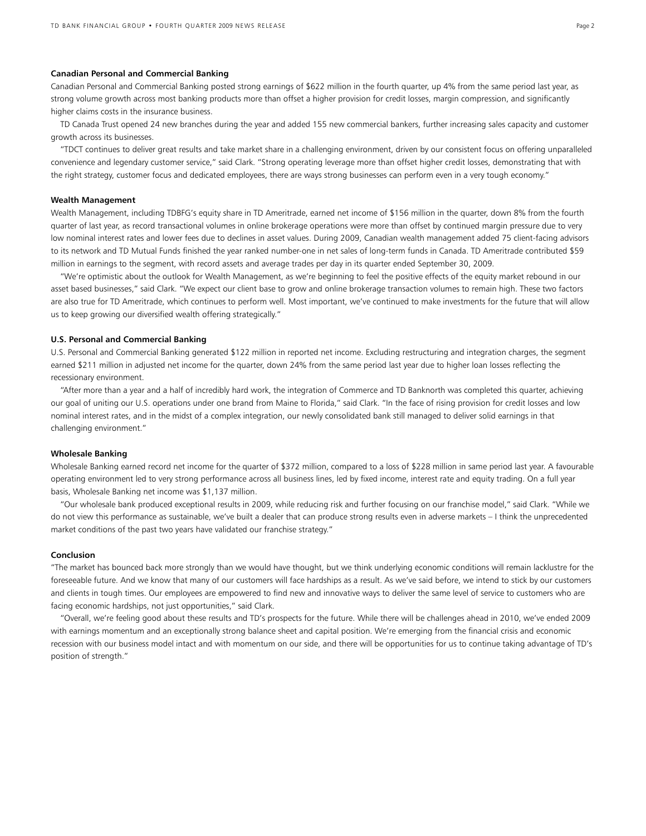#### **Canadian Personal and Commercial Banking**

Canadian Personal and Commercial Banking posted strong earnings of \$622 million in the fourth quarter, up 4% from the same period last year, as strong volume growth across most banking products more than offset a higher provision for credit losses, margin compression, and significantly higher claims costs in the insurance business.

TD Canada Trust opened 24 new branches during the year and added 155 new commercial bankers, further increasing sales capacity and customer growth across its businesses.

"TDCT continues to deliver great results and take market share in a challenging environment, driven by our consistent focus on offering unparalleled convenience and legendary customer service," said Clark. "Strong operating leverage more than offset higher credit losses, demonstrating that with the right strategy, customer focus and dedicated employees, there are ways strong businesses can perform even in a very tough economy."

#### **Wealth Management**

Wealth Management, including TDBFG's equity share in TD Ameritrade, earned net income of \$156 million in the quarter, down 8% from the fourth quarter of last year, as record transactional volumes in online brokerage operations were more than offset by continued margin pressure due to very low nominal interest rates and lower fees due to declines in asset values. During 2009, Canadian wealth management added 75 client-facing advisors to its network and TD Mutual Funds finished the year ranked number-one in net sales of long-term funds in Canada. TD Ameritrade contributed \$59 million in earnings to the segment, with record assets and average trades per day in its quarter ended September 30, 2009.

 "We're optimistic about the outlook for Wealth Management, as we're beginning to feel the positive effects of the equity market rebound in our asset based businesses," said Clark. "We expect our client base to grow and online brokerage transaction volumes to remain high. These two factors are also true for TD Ameritrade, which continues to perform well. Most important, we've continued to make investments for the future that will allow us to keep growing our diversified wealth offering strategically."

#### **U.S. Personal and Commercial Banking**

U.S. Personal and Commercial Banking generated \$122 million in reported net income. Excluding restructuring and integration charges, the segment earned \$211 million in adjusted net income for the quarter, down 24% from the same period last year due to higher loan losses reflecting the recessionary environment.

"After more than a year and a half of incredibly hard work, the integration of Commerce and TD Banknorth was completed this quarter, achieving our goal of uniting our U.S. operations under one brand from Maine to Florida," said Clark. "In the face of rising provision for credit losses and low nominal interest rates, and in the midst of a complex integration, our newly consolidated bank still managed to deliver solid earnings in that challenging environment."

#### **Wholesale Banking**

Wholesale Banking earned record net income for the quarter of \$372 million, compared to a loss of \$228 million in same period last year. A favourable operating environment led to very strong performance across all business lines, led by fixed income, interest rate and equity trading. On a full year basis, Wholesale Banking net income was \$1,137 million.

"Our wholesale bank produced exceptional results in 2009, while reducing risk and further focusing on our franchise model," said Clark. "While we do not view this performance as sustainable, we've built a dealer that can produce strong results even in adverse markets – I think the unprecedented market conditions of the past two years have validated our franchise strategy."

#### **Conclusion**

"The market has bounced back more strongly than we would have thought, but we think underlying economic conditions will remain lacklustre for the foreseeable future. And we know that many of our customers will face hardships as a result. As we've said before, we intend to stick by our customers and clients in tough times. Our employees are empowered to find new and innovative ways to deliver the same level of service to customers who are facing economic hardships, not just opportunities," said Clark.

 "Overall, we're feeling good about these results and TD's prospects for the future. While there will be challenges ahead in 2010, we've ended 2009 with earnings momentum and an exceptionally strong balance sheet and capital position. We're emerging from the financial crisis and economic recession with our business model intact and with momentum on our side, and there will be opportunities for us to continue taking advantage of TD's position of strength."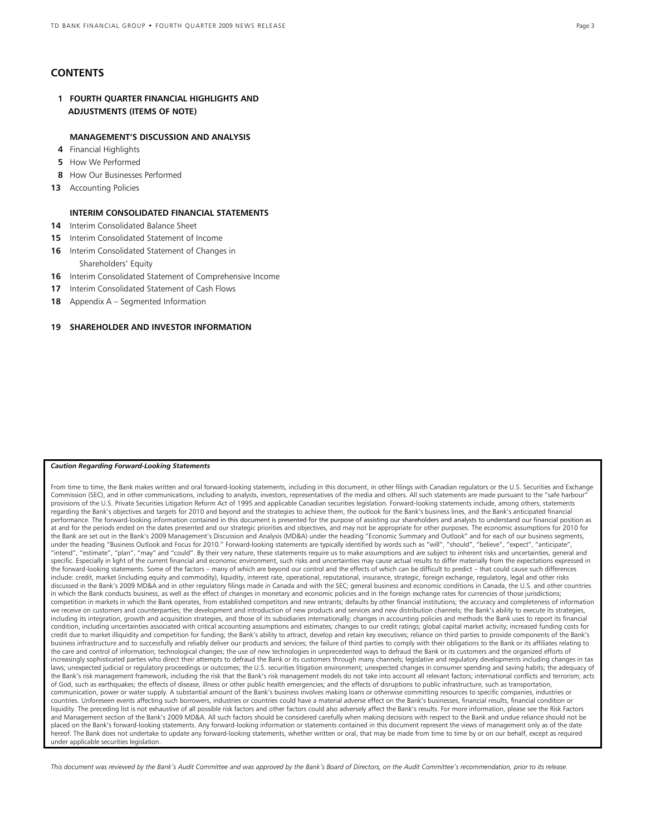# **CONTENTS**

 **1 FOURTH QUARTER FINANCIAL HIGHLIGHTS AND ADJUSTMENTS (ITEMS OF NOTE)** 

# **MANAGEMENT'S DISCUSSION AND ANALYSIS**

- **4** Financial Highlights
- **5** How We Performed
- **8** How Our Businesses Performed
- **13** Accounting Policies

# **INTERIM CONSOLIDATED FINANCIAL STATEMENTS**

- **14** Interim Consolidated Balance Sheet
- **15** Interim Consolidated Statement of Income
- **16** Interim Consolidated Statement of Changes in Shareholders' Equity
- **16** Interim Consolidated Statement of Comprehensive Income
- **17** Interim Consolidated Statement of Cash Flows
- **18** Appendix A Segmented Information

# **19 SHAREHOLDER AND INVESTOR INFORMATION**

#### *Caution Regarding Forward-Looking Statements*

From time to time, the Bank makes written and oral forward-looking statements, including in this document, in other filings with Canadian regulators or the U.S. Securities and Exchange Commission (SEC), and in other communications, including to analysts, investors, representatives of the media and others. All such statements are made pursuant to the "safe harbour" provisions of the U.S. Private Securities Litigation Reform Act of 1995 and applicable Canadian securities legislation. Forward-looking statements include, among others, statements regarding the Bank's objectives and targets for 2010 and beyond and the strategies to achieve them, the outlook for the Bank's business lines, and the Bank's anticipated financial performance. The forward-looking information contained in this document is presented for the purpose of assisting our shareholders and analysts to understand our financial position as at and for the periods ended on the dates presented and our strategic priorities and objectives, and may not be appropriate for other purposes. The economic assumptions for 2010 for the Bank are set out in the Bank's 2009 Management's Discussion and Analysis (MD&A) under the heading "Economic Summary and Outlook" and for each of our business segments,<br>under the heading "Business Outlook and Focus for "intend", "estimate", "plan", "may" and "could". By their very nature, these statements require us to make assumptions and are subject to inherent risks and uncertainties, general and specific. Especially in light of the current financial and economic environment, such risks and uncertainties may cause actual results to differ materially from the expectations expressed in the forward-looking statements. Some of the factors – many of which are beyond our control and the effects of which can be difficult to predict – that could cause such differences include: credit, market (including equity and commodity), liquidity, interest rate, operational, reputational, insurance, strategic, foreign exchange, regulatory, legal and other risks discussed in the Bank's 2009 MD&A and in other regulatory filings made in Canada and with the SEC; general business and economic conditions in Canada, the U.S. and other countries in which the Bank conducts business, as well as the effect of changes in monetary and economic policies and in the foreign exchange rates for currencies of those jurisdictions; competition in markets in which the Bank operates, from established competitors and new entrants; defaults by other financial institutions; the accuracy and completeness of information we receive on customers and counterparties; the development and introduction of new products and services and new distribution channels; the Bank's ability to execute its strategies, including its integration, growth and acquisition strategies, and those of its subsidiaries internationally; changes in accounting policies and methods the Bank uses to report its financial condition, including uncertainties associated with critical accounting assumptions and estimates; changes to our credit ratings; global capital market activity; increased funding costs for credit due to market illiquidity and competition for funding; the Bank's ability to attract, develop and retain key executives; reliance on third parties to provide components of the Bank's business infrastructure and to successfully and reliably deliver our products and services; the failure of third parties to comply with their obligations to the Bank or its affiliates relating to the care and control of information; technological changes; the use of new technologies in unprecedented ways to defraud the Bank or its customers and the organized efforts of increasingly sophisticated parties who direct their attempts to defraud the Bank or its customers through many channels; legislative and regulatory developments including changes in tax laws; unexpected judicial or regulatory proceedings or outcomes; the U.S. securities litigation environment; unexpected changes in consumer spending and saving habits; the adequacy of the Bank's risk management framework, including the risk that the Bank's risk management models do not take into account all relevant factors; international conflicts and terrorism; acts of God, such as earthquakes; the effects of disease, illness or other public health emergencies; and the effects of disruptions to public infrastructure, such as transportation, communication, power or water supply. A substantial amount of the Bank's business involves making loans or otherwise committing resources to specific companies, industries or countries. Unforeseen events affecting such borrowers, industries or countries could have a material adverse effect on the Bank's businesses, financial results, financial condition or liquidity. The preceding list is not exhaustive of all possible risk factors and other factors could also adversely affect the Bank's results. For more information, please see the Risk Factors and Management section of the Bank's 2009 MD&A. All such factors should be considered carefully when making decisions with respect to the Bank and undue reliance should not be placed on the Bank's forward-looking statements. Any forward-looking information or statements contained in this document represent the views of management only as of the date hereof. The Bank does not undertake to update any forward-looking statements, whether written or oral, that may be made from time to time by or on our behalf, except as required under applicable securities legislation.

*This document was reviewed by the Bank's Audit Committee and was approved by the Bank's Board of Directors, on the Audit Committee's recommendation, prior to its release.*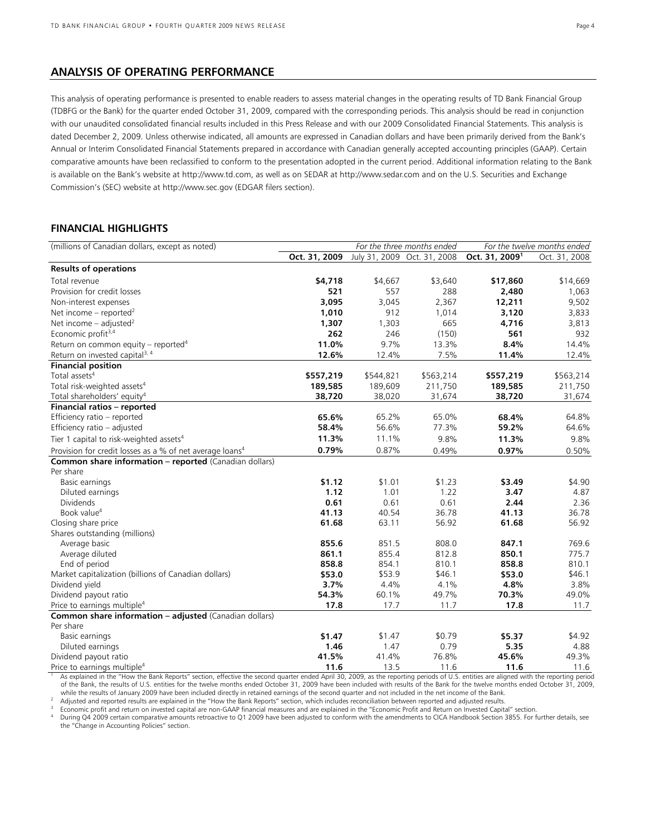# **ANALYSIS OF OPERATING PERFORMANCE**

This analysis of operating performance is presented to enable readers to assess material changes in the operating results of TD Bank Financial Group (TDBFG or the Bank) for the quarter ended October 31, 2009, compared with the corresponding periods. This analysis should be read in conjunction with our unaudited consolidated financial results included in this Press Release and with our 2009 Consolidated Financial Statements. This analysis is dated December 2, 2009. Unless otherwise indicated, all amounts are expressed in Canadian dollars and have been primarily derived from the Bank's Annual or Interim Consolidated Financial Statements prepared in accordance with Canadian generally accepted accounting principles (GAAP). Certain comparative amounts have been reclassified to conform to the presentation adopted in the current period. Additional information relating to the Bank is available on the Bank's website at http://www.td.com, as well as on SEDAR at http://www.sedar.com and on the U.S. Securities and Exchange Commission's (SEC) website at http://www.sec.gov (EDGAR filers section).

# **FINANCIAL HIGHLIGHTS**

| Oct. 31, 2009<br>July 31, 2009 Oct. 31, 2008<br>Oct. 31, 2009 <sup>1</sup><br>Oct. 31, 2008<br><b>Results of operations</b><br>Total revenue<br>\$4,718<br>\$4,667<br>\$3,640<br>\$17,860<br>\$14,669<br>Provision for credit losses<br>521<br>557<br>288<br>2,480<br>1,063<br>3,095<br>3,045<br>2,367<br>12,211<br>9,502<br>Non-interest expenses |
|----------------------------------------------------------------------------------------------------------------------------------------------------------------------------------------------------------------------------------------------------------------------------------------------------------------------------------------------------|
|                                                                                                                                                                                                                                                                                                                                                    |
|                                                                                                                                                                                                                                                                                                                                                    |
|                                                                                                                                                                                                                                                                                                                                                    |
|                                                                                                                                                                                                                                                                                                                                                    |
|                                                                                                                                                                                                                                                                                                                                                    |
| 1,010<br>912<br>Net income – reported <sup>2</sup><br>1,014<br>3,120<br>3,833                                                                                                                                                                                                                                                                      |
| 1,307<br>1,303<br>4,716<br>Net income $-$ adjusted <sup>2</sup><br>665<br>3,813                                                                                                                                                                                                                                                                    |
| Economic profit <sup>3,4</sup><br>262<br>246<br>(150)<br>561<br>932                                                                                                                                                                                                                                                                                |
| 11.0%<br>9.7%<br>8.4%<br>Return on common equity – reported <sup>4</sup><br>13.3%<br>14.4%                                                                                                                                                                                                                                                         |
| Return on invested capital <sup>3, 4</sup><br>12.6%<br>12.4%<br>7.5%<br>11.4%<br>12.4%                                                                                                                                                                                                                                                             |
| <b>Financial position</b>                                                                                                                                                                                                                                                                                                                          |
| Total assets <sup>4</sup><br>\$557,219<br>\$544,821<br>\$563,214<br>\$557,219<br>\$563,214                                                                                                                                                                                                                                                         |
| Total risk-weighted assets <sup>4</sup><br>189,585<br>189,609<br>211,750<br>189,585<br>211,750                                                                                                                                                                                                                                                     |
| 38,720<br>Total shareholders' equity <sup>4</sup><br>38,020<br>31,674<br>38,720<br>31,674                                                                                                                                                                                                                                                          |
| Financial ratios - reported                                                                                                                                                                                                                                                                                                                        |
| 65.6%<br>65.2%<br>65.0%<br>68.4%<br>64.8%<br>Efficiency ratio - reported                                                                                                                                                                                                                                                                           |
| 56.6%<br>59.2%<br>Efficiency ratio - adjusted<br>58.4%<br>77.3%<br>64.6%                                                                                                                                                                                                                                                                           |
| 11.3%<br>11.1%<br>Tier 1 capital to risk-weighted assets <sup>4</sup><br>9.8%<br>11.3%<br>9.8%                                                                                                                                                                                                                                                     |
| 0.79%<br>0.97%<br>Provision for credit losses as a % of net average loans <sup>4</sup><br>0.87%<br>0.49%<br>0.50%                                                                                                                                                                                                                                  |
| Common share information - reported (Canadian dollars)                                                                                                                                                                                                                                                                                             |
| Per share                                                                                                                                                                                                                                                                                                                                          |
| \$1.12<br>\$1.01<br>\$1.23<br>Basic earnings<br>\$3.49<br>\$4.90                                                                                                                                                                                                                                                                                   |
| 1.12<br>1.01<br>1.22<br>3.47<br>4.87<br>Diluted earnings                                                                                                                                                                                                                                                                                           |
| 0.61<br>0.61<br>0.61<br>2.44<br>2.36<br><b>Dividends</b>                                                                                                                                                                                                                                                                                           |
| Book value <sup>4</sup><br>41.13<br>36.78<br>41.13<br>36.78<br>40.54                                                                                                                                                                                                                                                                               |
| 56.92<br>Closing share price<br>61.68<br>63.11<br>61.68<br>56.92                                                                                                                                                                                                                                                                                   |
| Shares outstanding (millions)                                                                                                                                                                                                                                                                                                                      |
| 851.5<br>808.0<br>769.6<br>855.6<br>847.1<br>Average basic                                                                                                                                                                                                                                                                                         |
| 861.1<br>855.4<br>812.8<br>850.1<br>775.7<br>Average diluted                                                                                                                                                                                                                                                                                       |
| 858.8<br>854.1<br>810.1<br>858.8<br>810.1<br>End of period                                                                                                                                                                                                                                                                                         |
| \$53.0<br>\$53.9<br>\$46.1<br>\$53.0<br>Market capitalization (billions of Canadian dollars)<br>\$46.1                                                                                                                                                                                                                                             |
| Dividend yield<br>3.7%<br>4.4%<br>4.1%<br>4.8%<br>3.8%                                                                                                                                                                                                                                                                                             |
| 70.3%<br>Dividend payout ratio<br>54.3%<br>60.1%<br>49.7%<br>49.0%                                                                                                                                                                                                                                                                                 |
| Price to earnings multiple <sup>4</sup><br>17.7<br>11.7<br>17.8<br>17.8<br>11.7                                                                                                                                                                                                                                                                    |
| <b>Common share information - adjusted (Canadian dollars)</b>                                                                                                                                                                                                                                                                                      |
| Per share<br>\$1.47<br>\$1.47<br>\$0.79<br>\$5.37                                                                                                                                                                                                                                                                                                  |
| \$4.92<br>Basic earnings<br>0.79<br>5.35<br>1.46<br>1.47<br>4.88                                                                                                                                                                                                                                                                                   |
| Diluted earnings<br>41.5%<br>76.8%<br>Dividend payout ratio<br>41.4%<br>45.6%<br>49.3%                                                                                                                                                                                                                                                             |
| 11.6<br>13.5<br>11.6<br>11.6<br>11.6<br>Price to earnings multiple <sup>4</sup>                                                                                                                                                                                                                                                                    |

 As explained in the "How the Bank Reports" section, effective the second quarter ended April 30, 2009, as the reporting periods of U.S. entities are aligned with the reporting period of the Bank, the results of U.S. entities for the twelve months ended October 31, 2009 have been included with results of the Bank for the twelve months ended October 31, 2009,

while the results of January 2009 have been included directly in retained earnings of the second quarter and not included in the net income of the Bank.<br>Adjusted and reported results are explained in the "How the Bank Repo the "Change in Accounting Policies" section.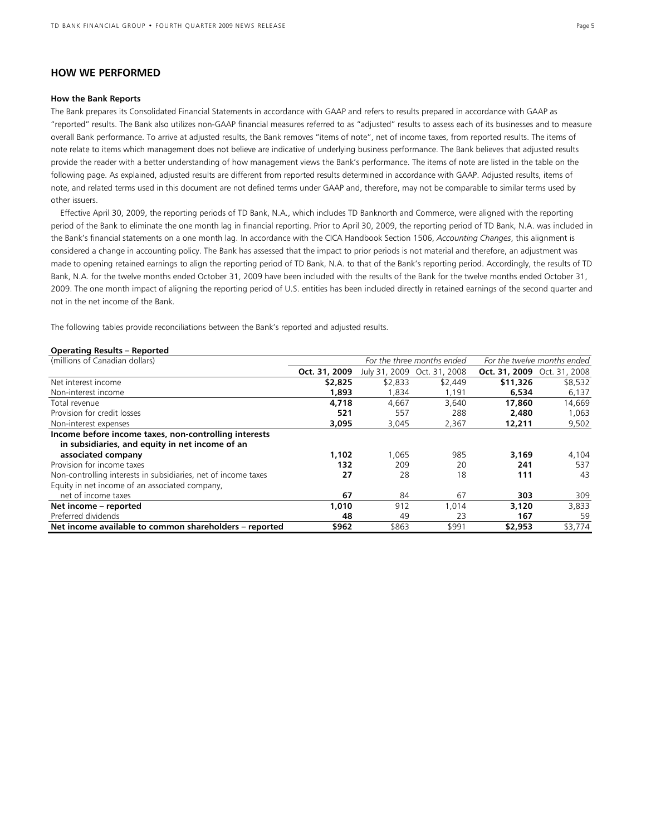# **HOW WE PERFORMED**

#### **How the Bank Reports**

The Bank prepares its Consolidated Financial Statements in accordance with GAAP and refers to results prepared in accordance with GAAP as "reported" results. The Bank also utilizes non-GAAP financial measures referred to as "adjusted" results to assess each of its businesses and to measure overall Bank performance. To arrive at adjusted results, the Bank removes "items of note", net of income taxes, from reported results. The items of note relate to items which management does not believe are indicative of underlying business performance. The Bank believes that adjusted results provide the reader with a better understanding of how management views the Bank's performance. The items of note are listed in the table on the following page. As explained, adjusted results are different from reported results determined in accordance with GAAP. Adjusted results, items of note, and related terms used in this document are not defined terms under GAAP and, therefore, may not be comparable to similar terms used by other issuers.

 Effective April 30, 2009, the reporting periods of TD Bank, N.A., which includes TD Banknorth and Commerce, were aligned with the reporting period of the Bank to eliminate the one month lag in financial reporting. Prior to April 30, 2009, the reporting period of TD Bank, N.A. was included in the Bank's financial statements on a one month lag. In accordance with the CICA Handbook Section 1506, *Accounting Changes*, this alignment is considered a change in accounting policy. The Bank has assessed that the impact to prior periods is not material and therefore, an adjustment was made to opening retained earnings to align the reporting period of TD Bank, N.A. to that of the Bank's reporting period. Accordingly, the results of TD Bank, N.A. for the twelve months ended October 31, 2009 have been included with the results of the Bank for the twelve months ended October 31, 2009. The one month impact of aligning the reporting period of U.S. entities has been included directly in retained earnings of the second quarter and not in the net income of the Bank.

The following tables provide reconciliations between the Bank's reported and adjusted results.

#### **Operating Results – Reported**

| (millions of Canadian dollars)                                 |               |         | For the three months ended  |                                    | For the twelve months ended |
|----------------------------------------------------------------|---------------|---------|-----------------------------|------------------------------------|-----------------------------|
|                                                                | Oct. 31, 2009 |         | July 31, 2009 Oct. 31, 2008 | <b>Oct. 31, 2009</b> Oct. 31, 2008 |                             |
| Net interest income                                            | \$2,825       | \$2,833 | \$2,449                     | \$11,326                           | \$8,532                     |
| Non-interest income                                            | 1,893         | 1.834   | 1,191                       | 6,534                              | 6,137                       |
| Total revenue                                                  | 4,718         | 4.667   | 3.640                       | 17,860                             | 14,669                      |
| Provision for credit losses                                    | 521           | 557     | 288                         | 2,480                              | 1,063                       |
| Non-interest expenses                                          | 3,095         | 3,045   | 2,367                       | 12,211                             | 9,502                       |
| Income before income taxes, non-controlling interests          |               |         |                             |                                    |                             |
| in subsidiaries, and equity in net income of an                |               |         |                             |                                    |                             |
| associated company                                             | 1,102         | 1,065   | 985                         | 3,169                              | 4,104                       |
| Provision for income taxes                                     | 132           | 209     | 20                          | 241                                | 537                         |
| Non-controlling interests in subsidiaries, net of income taxes | 27            | 28      | 18                          | 111                                | 43                          |
| Equity in net income of an associated company,                 |               |         |                             |                                    |                             |
| net of income taxes                                            | 67            | 84      | 67                          | 303                                | 309                         |
| Net income - reported                                          | 1,010         | 912     | 1,014                       | 3,120                              | 3,833                       |
| Preferred dividends                                            | 48            | 49      | 23                          | 167                                | 59                          |
| Net income available to common shareholders - reported         | \$962         | \$863   | \$991                       | \$2,953                            | \$3,774                     |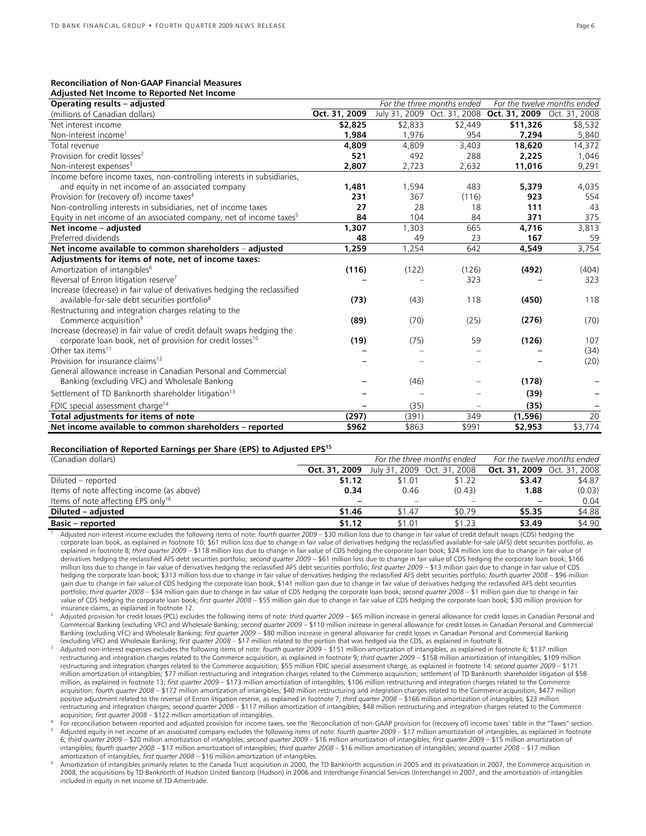# **Reconciliation of Non-GAAP Financial Measures**

| Adjusted Net Income to Reported Net Income                                      |               |               |                            |                             |                             |
|---------------------------------------------------------------------------------|---------------|---------------|----------------------------|-----------------------------|-----------------------------|
| Operating results - adjusted                                                    |               |               | For the three months ended |                             | For the twelve months ended |
| (millions of Canadian dollars)                                                  | Oct. 31, 2009 | July 31, 2009 |                            | Oct. 31, 2008 Oct. 31, 2009 | Oct. 31, 2008               |
| Net interest income                                                             | \$2,825       | \$2,833       | \$2,449                    | \$11,326                    | \$8,532                     |
| Non-interest income <sup>1</sup>                                                | 1,984         | 1.976         | 954                        | 7,294                       | 5,840                       |
| Total revenue                                                                   | 4,809         | 4,809         | 3,403                      | 18,620                      | 14,372                      |
| Provision for credit losses <sup>2</sup>                                        | 521           | 492           | 288                        | 2,225                       | 1,046                       |
| Non-interest expenses <sup>3</sup>                                              | 2,807         | 2,723         | 2,632                      | 11,016                      | 9,291                       |
| Income before income taxes, non-controlling interests in subsidiaries,          |               |               |                            |                             |                             |
| and equity in net income of an associated company                               | 1,481         | 1,594         | 483                        | 5,379                       | 4,035                       |
| Provision for (recovery of) income taxes <sup>4</sup>                           | 231           | 367           | (116)                      | 923                         | 554                         |
| Non-controlling interests in subsidiaries, net of income taxes                  | 27            | 28            | 18                         | 111                         | 43                          |
| Equity in net income of an associated company, net of income taxes <sup>5</sup> | 84            | 104           | 84                         | 371                         | 375                         |
| Net income - adjusted                                                           | 1,307         | 1,303         | 665                        | 4,716                       | 3,813                       |
| Preferred dividends                                                             | 48            | 49            | 23                         | 167                         | 59                          |
| Net income available to common shareholders - adjusted                          | 1,259         | 1,254         | 642                        | 4,549                       | 3,754                       |
| Adjustments for items of note, net of income taxes:                             |               |               |                            |                             |                             |
| Amortization of intangibles <sup>6</sup>                                        | (116)         | (122)         | (126)                      | (492)                       | (404)                       |
| Reversal of Enron litigation reserve <sup>7</sup>                               |               |               | 323                        |                             | 323                         |
| Increase (decrease) in fair value of derivatives hedging the reclassified       |               |               |                            |                             |                             |
| available-for-sale debt securities portfolio <sup>8</sup>                       | (73)          | (43)          | 118                        | (450)                       | 118                         |
| Restructuring and integration charges relating to the                           |               |               |                            |                             |                             |
| Commerce acquisition <sup>9</sup>                                               | (89)          | (70)          | (25)                       | (276)                       | (70)                        |
| Increase (decrease) in fair value of credit default swaps hedging the           |               |               |                            |                             |                             |
| corporate loan book, net of provision for credit losses <sup>10</sup>           | (19)          | (75)          | 59                         | (126)                       | 107                         |
| Other tax items <sup>11</sup>                                                   |               |               |                            |                             | (34)                        |
| Provision for insurance claims <sup>12</sup>                                    |               |               |                            |                             | (20)                        |
| General allowance increase in Canadian Personal and Commercial                  |               |               |                            |                             |                             |
| Banking (excluding VFC) and Wholesale Banking                                   |               | (46)          |                            | (178)                       |                             |
| Settlement of TD Banknorth shareholder litigation <sup>13</sup>                 |               |               |                            | (39)                        |                             |
| FDIC special assessment charge <sup>14</sup>                                    |               | (35)          |                            | (35)                        |                             |
| Total adjustments for items of note                                             | (297)         | (391)         | 349                        | (1,596)                     | 20                          |
| Net income available to common shareholders - reported                          | \$962         | \$863         | \$991                      | \$2,953                     | \$3,774                     |

#### **Reconciliation of Reported Earnings per Share (EPS) to Adjusted EPS15**

| (Canadian dollars)                             | For the three months ended                       |        |                          | For the twelve months ended        |        |  |
|------------------------------------------------|--------------------------------------------------|--------|--------------------------|------------------------------------|--------|--|
|                                                | <b>Oct. 31, 2009</b> July 31, 2009 Oct. 31, 2008 |        |                          | <b>Oct. 31, 2009</b> Oct. 31, 2008 |        |  |
| Diluted – reported                             | \$1.12                                           | \$1.01 | \$1.22                   | \$3.47                             | \$4.87 |  |
| Items of note affecting income (as above)      | 0.34                                             | 0.46   | (0.43)                   | 1.88                               | (0.03) |  |
| Items of note affecting EPS only <sup>16</sup> |                                                  |        | $\overline{\phantom{m}}$ | $\overline{\phantom{0}}$           | 0.04   |  |
| Diluted – adjusted                             | \$1.46                                           | \$1.47 | \$0.79                   | \$5.35                             | \$4.88 |  |
| <b>Basic – reported</b>                        | \$1.12                                           | \$1.01 | \$1.23                   | \$3.49                             | \$4.90 |  |

<sup>1</sup> Adjusted non-interest income excludes the following items of note: *fourth quarter 2009* – \$30 million loss due to change in fair value of credit default swaps (CDS) hedging the corporate loan book, as explained in footnote 10; \$61 million loss due to change in fair value of derivatives hedging the reclassified available-for-sale (AFS) debt securities portfolio, as explained in footnote 8; *third quarter 2009* – \$118 million loss due to change in fair value of CDS hedging the corporate loan book; \$24 million loss due to change in fair value of derivatives hedging the reclassified AFS debt securities portfolio*; second quarter 2009* – \$61 million loss due to change in fair value of CDS hedging the corporate loan book; \$166 million loss due to change in fair value of derivatives hedging the reclassified AFS debt securities portfolio; *first quarter 2009* – \$13 million gain due to change in fair value of CDS hedging the corporate loan book; \$313 million loss due to change in fair value of derivatives hedging the reclassified AFS debt securities portfolio; *fourth quarter 2008* – \$96 million<br>gain due to change in fair value of portfolio; *third quarter 2008 –* \$34 million gain due to change in fair value of CDS hedging the corporate loan book; *second quarter 2008 –* \$1 million gain due to change in fair<br>value of CDS hedging the corporate loan b insurance claims, as explained in footnote 12.<br>Adjusted provision for credit losses (PCL) excludes the following items of note: third quarter 2009 – \$65 million increase in general allowance for credit losses in Canadian P

Commercial Banking (excluding VFC) and Wholesale Banking; *second quarter 2009* – \$110 million increase in general allowance for credit losses in Canadian Personal and Commercial Banking (excluding VFC) and Wholesale Banking; *first quarter 2009* – \$80 million increase in general allowance for credit losses in Canadian Personal and Commercial Banking<br>(excluding VFC) and Wholesale Banking; *first qu* 

Adjusted non-interest expenses excludes the following items of note: fourth quarter 2009 - \$151 million amortization of intangibles, as explained in footnote 6; \$137 million restructuring and integration charges related to the Commerce acquisition, as explained in footnote 9; *third quarter 2009* – \$158 million amortization of intangibles; \$109 million restructuring and integration charges related to the Commerce acquisition; \$55 million FDIC special assessment charge, as explained in footnote 14; *second quarter 2009* – \$171 million amortization of intangibles; \$77 million restructuring and integration charges related to the Commerce acquisition; settlement of TD Banknorth shareholder litigation of \$58 million, as explained in footnote 13; *first quarter 2009* – \$173 million amortization of intangibles; \$106 million restructuring and integration charges related to the Commerce acquisition; *fourth quarter 2008* – \$172 million amortization of intangibles; \$40 million restructuring and integration charges related to the Commerce acquisition, \$477 million positive adjustment related to the reversal of Enron litigation reserve, as explained in footnote 7; *third quarter 2008* – \$166 million amortization of intangibles; \$23 million restructuring and integration charges; *second quarter 2008* – \$117 million amortization of intangibles; \$48 million restructuring and integration charges related to the Commerce

acquisition; first quarter 2008 – \$122 million amortization of intangibles.<br>For reconciliation between reported and adjusted provision for income taxes, see the 'Reconciliation of non-GAAP provision for (recovery of) incom 6; *third quarter 2009* – \$20 million amortization of intangibles; *second quarter 2009* – \$16 million amortization of intangibles; *first quarter 2009* – \$15 million amortization of intangibles; *fourth quarter 2008* – \$17 million amortization of intangibles; *third quarter 2008* – \$16 million amortization of intangibles; *second quarter 2008* – \$17 million

Amortization of intangibles primarily relates to the Canada Trust acquisition in 2000, the TD Banknorth acquisition in 2005 and its privatization in 2007, the Commerce acquisition in in 2008, the acquisitions by TD Banknorth of Hudson United Bancorp (Hudson) in 2006 and Interchange Financial Services (Interchange) in 2007, and the amortization of intangibles included in equity in net income of TD Ameritrade.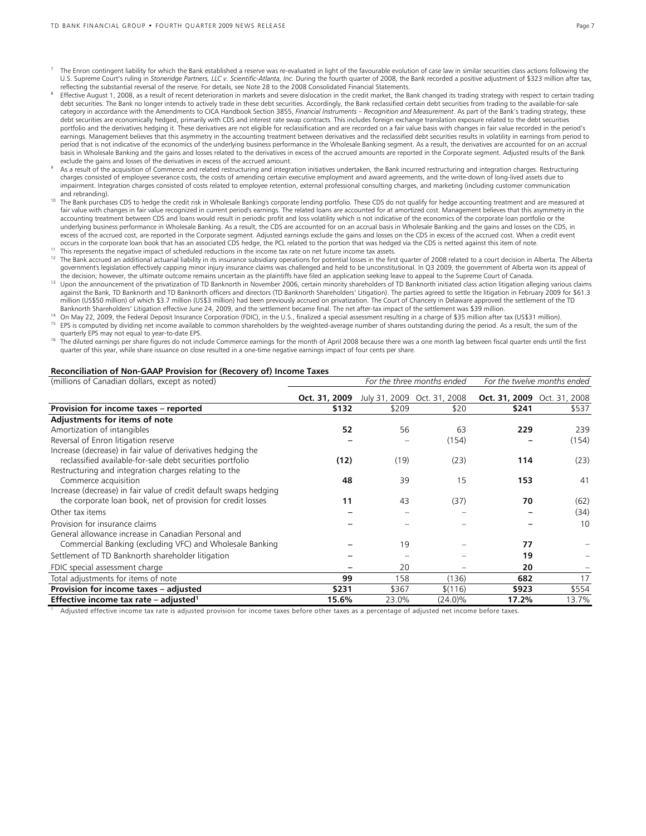- The Enron contingent liability for which the Bank established a reserve was re-evaluated in light of the favourable evolution of case law in similar securities class actions following the U.S. Supreme Court's ruling in Stoneridge Partners, LLC v. Scientific-Atlanta, Inc. During the fourth quarter of 2008, the Bank recorded a positive adjustment of \$323 million after tax,<br>reflecting the substantial reversal
- Effective August 1, 2008, as a result of recent deterioration in markets and severe dislocation in the credit market, the Bank changed its trading strategy with respect to certain trading debt securities. The Bank no longer intends to actively trade in these debt securities. Accordingly, the Bank reclassified certain debt securities from trading to the available-for-sale category in accordance with the Amendments to CICA Handbook Section 3855, *Financial Instruments – Recognition and Measurement*. As part of the Bank's trading strategy, these debt securities are economically hedged, primarily with CDS and interest rate swap contracts. This includes foreign exchange translation exposure related to the debt securities portfolio and the derivatives hedging it. These derivatives are not eligible for reclassification and are recorded on a fair value basis with changes in fair value recorded in the period's earnings. Management believes that this asymmetry in the accounting treatment between derivatives and the reclassified debt securities results in volatility in earnings from period to period that is not indicative of the economics of the underlying business performance in the Wholesale Banking segment. As a result, the derivatives are accounted for on an accrual basis in Wholesale Banking and the gains and losses related to the derivatives in excess of the accrued amounts are reported in the Corporate segment. Adjusted results of the Bank
- exclude the gains and losses of the derivatives in excess of the accrued amount.<br>As a result of the acquisition of Commerce and related restructuring and integration initiatives undertaken, the Bank incurred restructuring charges consisted of employee severance costs, the costs of amending certain executive employment and award agreements, and the write-down of long-lived assets due to impairment. Integration charges consisted of costs related to employee retention, external professional consulting charges, and marketing (including customer communication
- and rebranding).<br><sup>10</sup> The Bank purchases CDS to hedge the credit risk in Wholesale Banking's corporate lending portfolio. These CDS do not qualify for hedge accounting treatment and are measured at fair value with changes in fair value recognized in current period's earnings. The related loans are accounted for at amortized cost. Management believes that this asymmetry in the accounting treatment between CDS and loans would result in periodic profit and loss volatility which is not indicative of the economics of the corporate loan portfolio or the underlying business performance in Wholesale Banking. As a result, the CDS are accounted for on an accrual basis in Wholesale Banking and the gains and losses on the CDS, in excess of the accrued cost, are reported in the Corporate segment. Adjusted earnings exclude the gains and losses on the CDS in excess of the accrued cost. When a credit event occurs in the corporate loan book that has an
- 
- <sup>11</sup> This represents the negative impact of scheduled reductions in the income tax rate on net future income tax assets.<br><sup>12</sup> The Bank accrued an additional actuarial liability in its insurance subsidiary operations for po government's legislation effectively capping minor injury insurance claims was challenged and held to be unconstitutional. In Q3 2009, the government of Alberta won its appeal of<br>the decision; however, the ultimate outcome
- <sup>13</sup> Upon the announcement of the privatization of TD Banknorth in November 2006, certain minority shareholders of TD Banknorth initiated class action litigation alleging various claims against the Bank, TD Banknorth and TD Banknorth officers and directors (TD Banknorth Shareholders' Litigation). The parties agreed to settle the litigation in February 2009 for \$61.3 million (US\$50 million) of which \$3.7 million (US\$3 million) had been previously accrued on privatization. The Court of Chancery in Delaware approved the settlement of the TD<br>Banknorth Shareholders' Litigation effective Ju

- <sup>14</sup> On May 22, 2009, the Federal Deposit Insurance Corporation (FDIC), in the U.S., finalized a special assessment resulting in a charge of \$35 million after tax (US\$31 million).<br><sup>15</sup> EPS is computed by dividing net incom
- quarterly EPS may not equal to year-to-date EPS.<br><sup>16</sup> The diluted earnings per share figures do not include Commerce earnings for the month of April 2008 because there was a one month lag between fiscal quarter ends until quarter of this year, while share issuance on close resulted in a one-time negative earnings impact of four cents per share.

#### **Reconciliation of Non-GAAP Provision for (Recovery of) Income Taxes**

| (millions of Canadian dollars, except as noted)                   |               | For the three months ended | For the twelve months ended |                             |       |
|-------------------------------------------------------------------|---------------|----------------------------|-----------------------------|-----------------------------|-------|
|                                                                   | Oct. 31, 2009 |                            | July 31, 2009 Oct. 31, 2008 | Oct. 31, 2009 Oct. 31, 2008 |       |
| Provision for income taxes - reported                             | \$132         | \$209                      | \$20                        | \$241                       | \$537 |
| Adjustments for items of note                                     |               |                            |                             |                             |       |
| Amortization of intangibles                                       | 52            | 56                         | 63                          | 229                         | 239   |
| Reversal of Enron litigation reserve                              |               |                            | (154)                       |                             | (154) |
| Increase (decrease) in fair value of derivatives hedging the      |               |                            |                             |                             |       |
| reclassified available-for-sale debt securities portfolio         | (12)          | (19)                       | (23)                        | 114                         | (23)  |
| Restructuring and integration charges relating to the             |               |                            |                             |                             |       |
| Commerce acquisition                                              | 48            | 39                         | 15                          | 153                         | 41    |
| Increase (decrease) in fair value of credit default swaps hedging |               |                            |                             |                             |       |
| the corporate loan book, net of provision for credit losses       | 11            | 43                         | (37)                        | 70                          | (62)  |
| Other tax items                                                   |               |                            |                             |                             | (34)  |
| Provision for insurance claims                                    |               |                            |                             |                             | 10    |
| General allowance increase in Canadian Personal and               |               |                            |                             |                             |       |
| Commercial Banking (excluding VFC) and Wholesale Banking          |               | 19                         |                             | 77                          |       |
| Settlement of TD Banknorth shareholder litigation                 |               |                            |                             | 19                          |       |
| FDIC special assessment charge                                    |               | 20                         |                             | 20                          |       |
| Total adjustments for items of note                               | 99            | 158                        | (136)                       | 682                         | 17    |
| Provision for income taxes - adjusted                             | \$231         | \$367                      | \$(116)                     | \$923                       | \$554 |
| Effective income tax rate – adjusted <sup>1</sup>                 | 15.6%         | 23.0%                      | (24.0)%                     | 17.2%                       | 13.7% |

Adjusted effective income tax rate is adjusted provision for income taxes before other taxes as a percentage of adjusted net income before taxes.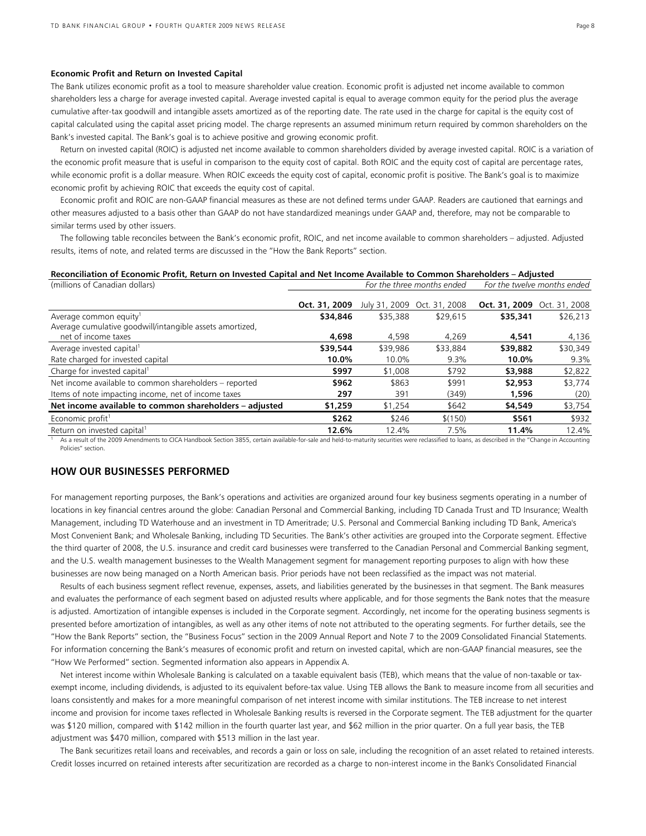#### **Economic Profit and Return on Invested Capital**

The Bank utilizes economic profit as a tool to measure shareholder value creation. Economic profit is adjusted net income available to common shareholders less a charge for average invested capital. Average invested capital is equal to average common equity for the period plus the average cumulative after-tax goodwill and intangible assets amortized as of the reporting date. The rate used in the charge for capital is the equity cost of capital calculated using the capital asset pricing model. The charge represents an assumed minimum return required by common shareholders on the Bank's invested capital. The Bank's goal is to achieve positive and growing economic profit.

Return on invested capital (ROIC) is adjusted net income available to common shareholders divided by average invested capital. ROIC is a variation of the economic profit measure that is useful in comparison to the equity cost of capital. Both ROIC and the equity cost of capital are percentage rates, while economic profit is a dollar measure. When ROIC exceeds the equity cost of capital, economic profit is positive. The Bank's goal is to maximize economic profit by achieving ROIC that exceeds the equity cost of capital.

Economic profit and ROIC are non-GAAP financial measures as these are not defined terms under GAAP. Readers are cautioned that earnings and other measures adjusted to a basis other than GAAP do not have standardized meanings under GAAP and, therefore, may not be comparable to similar terms used by other issuers.

The following table reconciles between the Bank's economic profit, ROIC, and net income available to common shareholders – adjusted. Adjusted results, items of note, and related terms are discussed in the "How the Bank Reports" section.

#### **Reconciliation of Economic Profit, Return on Invested Capital and Net Income Available to Common Shareholders – Adjusted**<br>For the three months ended For the twelve montion of Capadian dollars) (millions of Canadian dollars) *For the three months ended For the twelve months ended*

|               |          |               | . סויש כווערוסוויכיוונים כווסכם                    |               |
|---------------|----------|---------------|----------------------------------------------------|---------------|
| Oct. 31, 2009 |          | Oct. 31, 2008 |                                                    | Oct. 31, 2008 |
| \$34,846      | \$35,388 | \$29,615      | \$35,341                                           | \$26,213      |
|               |          |               |                                                    |               |
| 4,698         | 4.598    | 4.269         | 4,541                                              | 4,136         |
| \$39,544      | \$39,986 | \$33,884      | \$39,882                                           | \$30,349      |
| 10.0%         | 10.0%    | 9.3%          | 10.0%                                              | 9.3%          |
| \$997         | \$1,008  | \$792         | \$3,988                                            | \$2,822       |
| \$962         | \$863    | \$991         | \$2,953                                            | \$3,774       |
| 297           | 391      | (349)         | 1,596                                              | (20)          |
| \$1,259       | \$1,254  | \$642         | \$4,549                                            | \$3,754       |
| \$262         | \$246    | \$(150)       | \$561                                              | \$932         |
| 12.6%         | 12.4%    | 7.5%          | 11.4%                                              | 12.4%         |
|               |          |               | י סיומים כווויכל וווסוויוס לוומכל<br>July 31, 2009 | Oct. 31, 2009 |

As a result of the 2009 Amendments to CICA Handbook Section 3855, certain available-for-sale and held-to-maturity securities were reclassified to loans, as described in the "Change in Accounting Policies" section.

# **HOW OUR BUSINESSES PERFORMED**

For management reporting purposes, the Bank's operations and activities are organized around four key business segments operating in a number of locations in key financial centres around the globe: Canadian Personal and Commercial Banking, including TD Canada Trust and TD Insurance; Wealth Management, including TD Waterhouse and an investment in TD Ameritrade; U.S. Personal and Commercial Banking including TD Bank, America's Most Convenient Bank; and Wholesale Banking, including TD Securities. The Bank's other activities are grouped into the Corporate segment. Effective the third quarter of 2008, the U.S. insurance and credit card businesses were transferred to the Canadian Personal and Commercial Banking segment, and the U.S. wealth management businesses to the Wealth Management segment for management reporting purposes to align with how these businesses are now being managed on a North American basis. Prior periods have not been reclassified as the impact was not material.

Results of each business segment reflect revenue, expenses, assets, and liabilities generated by the businesses in that segment. The Bank measures and evaluates the performance of each segment based on adjusted results where applicable, and for those segments the Bank notes that the measure is adjusted. Amortization of intangible expenses is included in the Corporate segment. Accordingly, net income for the operating business segments is presented before amortization of intangibles, as well as any other items of note not attributed to the operating segments. For further details, see the "How the Bank Reports" section, the "Business Focus" section in the 2009 Annual Report and Note 7 to the 2009 Consolidated Financial Statements. For information concerning the Bank's measures of economic profit and return on invested capital, which are non-GAAP financial measures, see the "How We Performed" section. Segmented information also appears in Appendix A.

Net interest income within Wholesale Banking is calculated on a taxable equivalent basis (TEB), which means that the value of non-taxable or taxexempt income, including dividends, is adjusted to its equivalent before-tax value. Using TEB allows the Bank to measure income from all securities and loans consistently and makes for a more meaningful comparison of net interest income with similar institutions. The TEB increase to net interest income and provision for income taxes reflected in Wholesale Banking results is reversed in the Corporate segment. The TEB adjustment for the quarter was \$120 million, compared with \$142 million in the fourth quarter last year, and \$62 million in the prior quarter. On a full year basis, the TEB adjustment was \$470 million, compared with \$513 million in the last year.

The Bank securitizes retail loans and receivables, and records a gain or loss on sale, including the recognition of an asset related to retained interests. Credit losses incurred on retained interests after securitization are recorded as a charge to non-interest income in the Bank's Consolidated Financial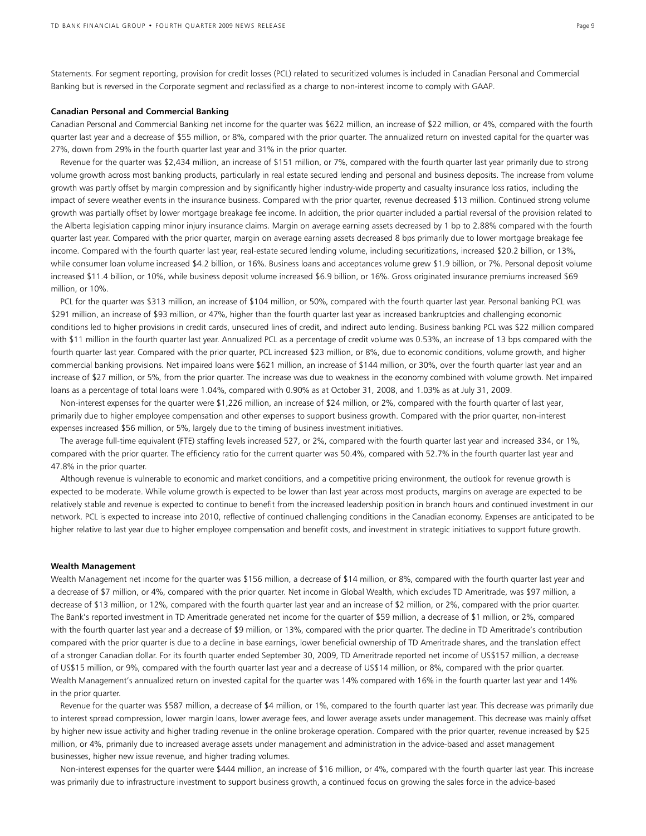Statements. For segment reporting, provision for credit losses (PCL) related to securitized volumes is included in Canadian Personal and Commercial Banking but is reversed in the Corporate segment and reclassified as a charge to non-interest income to comply with GAAP.

#### **Canadian Personal and Commercial Banking**

Canadian Personal and Commercial Banking net income for the quarter was \$622 million, an increase of \$22 million, or 4%, compared with the fourth quarter last year and a decrease of \$55 million, or 8%, compared with the prior quarter. The annualized return on invested capital for the quarter was 27%, down from 29% in the fourth quarter last year and 31% in the prior quarter.

 Revenue for the quarter was \$2,434 million, an increase of \$151 million, or 7%, compared with the fourth quarter last year primarily due to strong volume growth across most banking products, particularly in real estate secured lending and personal and business deposits. The increase from volume growth was partly offset by margin compression and by significantly higher industry-wide property and casualty insurance loss ratios, including the impact of severe weather events in the insurance business. Compared with the prior quarter, revenue decreased \$13 million. Continued strong volume growth was partially offset by lower mortgage breakage fee income. In addition, the prior quarter included a partial reversal of the provision related to the Alberta legislation capping minor injury insurance claims. Margin on average earning assets decreased by 1 bp to 2.88% compared with the fourth quarter last year. Compared with the prior quarter, margin on average earning assets decreased 8 bps primarily due to lower mortgage breakage fee income. Compared with the fourth quarter last year, real-estate secured lending volume, including securitizations, increased \$20.2 billion, or 13%, while consumer loan volume increased \$4.2 billion, or 16%. Business loans and acceptances volume grew \$1.9 billion, or 7%. Personal deposit volume increased \$11.4 billion, or 10%, while business deposit volume increased \$6.9 billion, or 16%. Gross originated insurance premiums increased \$69 million, or 10%.

 PCL for the quarter was \$313 million, an increase of \$104 million, or 50%, compared with the fourth quarter last year. Personal banking PCL was \$291 million, an increase of \$93 million, or 47%, higher than the fourth quarter last year as increased bankruptcies and challenging economic conditions led to higher provisions in credit cards, unsecured lines of credit, and indirect auto lending. Business banking PCL was \$22 million compared with \$11 million in the fourth quarter last year. Annualized PCL as a percentage of credit volume was 0.53%, an increase of 13 bps compared with the fourth quarter last year. Compared with the prior quarter, PCL increased \$23 million, or 8%, due to economic conditions, volume growth, and higher commercial banking provisions. Net impaired loans were \$621 million, an increase of \$144 million, or 30%, over the fourth quarter last year and an increase of \$27 million, or 5%, from the prior quarter. The increase was due to weakness in the economy combined with volume growth. Net impaired loans as a percentage of total loans were 1.04%, compared with 0.90% as at October 31, 2008, and 1.03% as at July 31, 2009.

 Non-interest expenses for the quarter were \$1,226 million, an increase of \$24 million, or 2%, compared with the fourth quarter of last year, primarily due to higher employee compensation and other expenses to support business growth. Compared with the prior quarter, non-interest expenses increased \$56 million, or 5%, largely due to the timing of business investment initiatives.

 The average full-time equivalent (FTE) staffing levels increased 527, or 2%, compared with the fourth quarter last year and increased 334, or 1%, compared with the prior quarter. The efficiency ratio for the current quarter was 50.4%, compared with 52.7% in the fourth quarter last year and 47.8% in the prior quarter.

 Although revenue is vulnerable to economic and market conditions, and a competitive pricing environment, the outlook for revenue growth is expected to be moderate. While volume growth is expected to be lower than last year across most products, margins on average are expected to be relatively stable and revenue is expected to continue to benefit from the increased leadership position in branch hours and continued investment in our network. PCL is expected to increase into 2010, reflective of continued challenging conditions in the Canadian economy. Expenses are anticipated to be higher relative to last year due to higher employee compensation and benefit costs, and investment in strategic initiatives to support future growth.

#### **Wealth Management**

Wealth Management net income for the quarter was \$156 million, a decrease of \$14 million, or 8%, compared with the fourth quarter last year and a decrease of \$7 million, or 4%, compared with the prior quarter. Net income in Global Wealth, which excludes TD Ameritrade, was \$97 million, a decrease of \$13 million, or 12%, compared with the fourth quarter last year and an increase of \$2 million, or 2%, compared with the prior quarter. The Bank's reported investment in TD Ameritrade generated net income for the quarter of \$59 million, a decrease of \$1 million, or 2%, compared with the fourth quarter last year and a decrease of \$9 million, or 13%, compared with the prior quarter. The decline in TD Ameritrade's contribution compared with the prior quarter is due to a decline in base earnings, lower beneficial ownership of TD Ameritrade shares, and the translation effect of a stronger Canadian dollar. For its fourth quarter ended September 30, 2009, TD Ameritrade reported net income of US\$157 million, a decrease of US\$15 million, or 9%, compared with the fourth quarter last year and a decrease of US\$14 million, or 8%, compared with the prior quarter. Wealth Management's annualized return on invested capital for the quarter was 14% compared with 16% in the fourth quarter last year and 14% in the prior quarter.

 Revenue for the quarter was \$587 million, a decrease of \$4 million, or 1%, compared to the fourth quarter last year. This decrease was primarily due to interest spread compression, lower margin loans, lower average fees, and lower average assets under management. This decrease was mainly offset by higher new issue activity and higher trading revenue in the online brokerage operation. Compared with the prior quarter, revenue increased by \$25 million, or 4%, primarily due to increased average assets under management and administration in the advice-based and asset management businesses, higher new issue revenue, and higher trading volumes.

 Non-interest expenses for the quarter were \$444 million, an increase of \$16 million, or 4%, compared with the fourth quarter last year. This increase was primarily due to infrastructure investment to support business growth, a continued focus on growing the sales force in the advice-based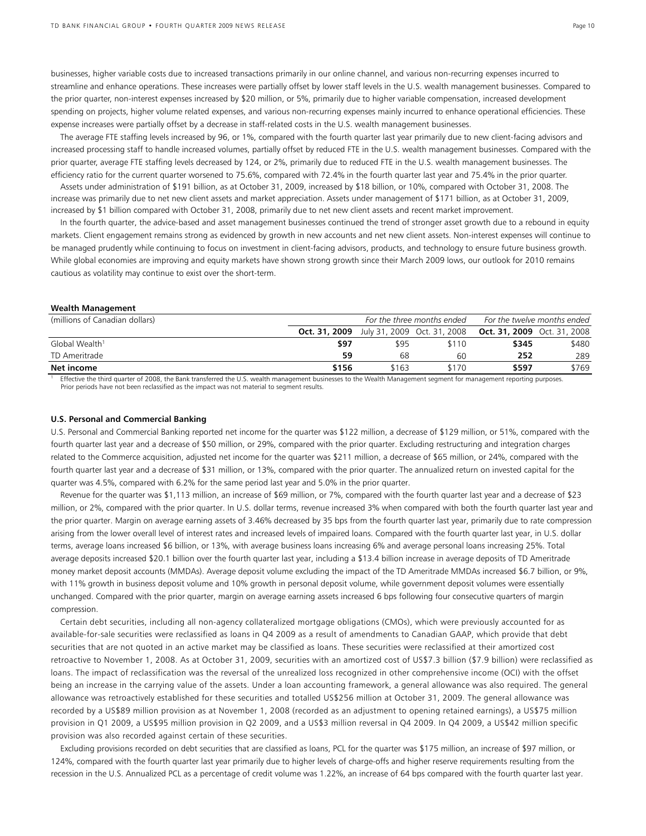businesses, higher variable costs due to increased transactions primarily in our online channel, and various non-recurring expenses incurred to streamline and enhance operations. These increases were partially offset by lower staff levels in the U.S. wealth management businesses. Compared to the prior quarter, non-interest expenses increased by \$20 million, or 5%, primarily due to higher variable compensation, increased development spending on projects, higher volume related expenses, and various non-recurring expenses mainly incurred to enhance operational efficiencies. These expense increases were partially offset by a decrease in staff-related costs in the U.S. wealth management businesses.

 The average FTE staffing levels increased by 96, or 1%, compared with the fourth quarter last year primarily due to new client-facing advisors and increased processing staff to handle increased volumes, partially offset by reduced FTE in the U.S. wealth management businesses. Compared with the prior quarter, average FTE staffing levels decreased by 124, or 2%, primarily due to reduced FTE in the U.S. wealth management businesses. The efficiency ratio for the current quarter worsened to 75.6%, compared with 72.4% in the fourth quarter last year and 75.4% in the prior quarter.

 Assets under administration of \$191 billion, as at October 31, 2009, increased by \$18 billion, or 10%, compared with October 31, 2008. The increase was primarily due to net new client assets and market appreciation. Assets under management of \$171 billion, as at October 31, 2009, increased by \$1 billion compared with October 31, 2008, primarily due to net new client assets and recent market improvement.

 In the fourth quarter, the advice-based and asset management businesses continued the trend of stronger asset growth due to a rebound in equity markets. Client engagement remains strong as evidenced by growth in new accounts and net new client assets. Non-interest expenses will continue to be managed prudently while continuing to focus on investment in client-facing advisors, products, and technology to ensure future business growth. While global economies are improving and equity markets have shown strong growth since their March 2009 lows, our outlook for 2010 remains cautious as volatility may continue to exist over the short-term.

#### **Wealth Management**

| (millions of Canadian dollars) |               | For the three months ended |                             | For the twelve months ended        |       |
|--------------------------------|---------------|----------------------------|-----------------------------|------------------------------------|-------|
|                                | Oct. 31, 2009 |                            | July 31, 2009 Oct. 31, 2008 | <b>Oct. 31, 2009</b> Oct. 31, 2008 |       |
| Global Wealth <sup>1</sup>     | \$97          | \$95                       | \$110                       | \$345                              | \$480 |
| TD Ameritrade                  | 59            | 68                         | 60                          | 252                                | 289   |
| Net income                     | \$156         | \$163                      | \$170                       | \$597                              | \$769 |
| $-22$ $-1$ $-1$ $-1$ $-1$<br>. |               |                            | $\sim$                      |                                    |       |

1 Effective the third quarter of 2008, the Bank transferred the U.S. wealth management businesses to the Wealth Management segment for management reporting purposes. Prior periods have not been reclassified as the impact was not material to segment results.

#### **U.S. Personal and Commercial Banking**

U.S. Personal and Commercial Banking reported net income for the quarter was \$122 million, a decrease of \$129 million, or 51%, compared with the fourth quarter last year and a decrease of \$50 million, or 29%, compared with the prior quarter. Excluding restructuring and integration charges related to the Commerce acquisition, adjusted net income for the quarter was \$211 million, a decrease of \$65 million, or 24%, compared with the fourth quarter last year and a decrease of \$31 million, or 13%, compared with the prior quarter. The annualized return on invested capital for the quarter was 4.5%, compared with 6.2% for the same period last year and 5.0% in the prior quarter.

 Revenue for the quarter was \$1,113 million, an increase of \$69 million, or 7%, compared with the fourth quarter last year and a decrease of \$23 million, or 2%, compared with the prior quarter. In U.S. dollar terms, revenue increased 3% when compared with both the fourth quarter last year and the prior quarter. Margin on average earning assets of 3.46% decreased by 35 bps from the fourth quarter last year, primarily due to rate compression arising from the lower overall level of interest rates and increased levels of impaired loans. Compared with the fourth quarter last year, in U.S. dollar terms, average loans increased \$6 billion, or 13%, with average business loans increasing 6% and average personal loans increasing 25%. Total average deposits increased \$20.1 billion over the fourth quarter last year, including a \$13.4 billion increase in average deposits of TD Ameritrade money market deposit accounts (MMDAs). Average deposit volume excluding the impact of the TD Ameritrade MMDAs increased \$6.7 billion, or 9%, with 11% growth in business deposit volume and 10% growth in personal deposit volume, while government deposit volumes were essentially unchanged. Compared with the prior quarter, margin on average earning assets increased 6 bps following four consecutive quarters of margin compression.

Certain debt securities, including all non-agency collateralized mortgage obligations (CMOs), which were previously accounted for as available-for-sale securities were reclassified as loans in Q4 2009 as a result of amendments to Canadian GAAP, which provide that debt securities that are not quoted in an active market may be classified as loans. These securities were reclassified at their amortized cost retroactive to November 1, 2008. As at October 31, 2009, securities with an amortized cost of US\$7.3 billion (\$7.9 billion) were reclassified as loans. The impact of reclassification was the reversal of the unrealized loss recognized in other comprehensive income (OCI) with the offset being an increase in the carrying value of the assets. Under a loan accounting framework, a general allowance was also required. The general allowance was retroactively established for these securities and totalled US\$256 million at October 31, 2009. The general allowance was recorded by a US\$89 million provision as at November 1, 2008 (recorded as an adjustment to opening retained earnings), a US\$75 million provision in Q1 2009, a US\$95 million provision in Q2 2009, and a US\$3 million reversal in Q4 2009. In Q4 2009, a US\$42 million specific provision was also recorded against certain of these securities.

 Excluding provisions recorded on debt securities that are classified as loans, PCL for the quarter was \$175 million, an increase of \$97 million, or 124%, compared with the fourth quarter last year primarily due to higher levels of charge-offs and higher reserve requirements resulting from the recession in the U.S. Annualized PCL as a percentage of credit volume was 1.22%, an increase of 64 bps compared with the fourth quarter last year.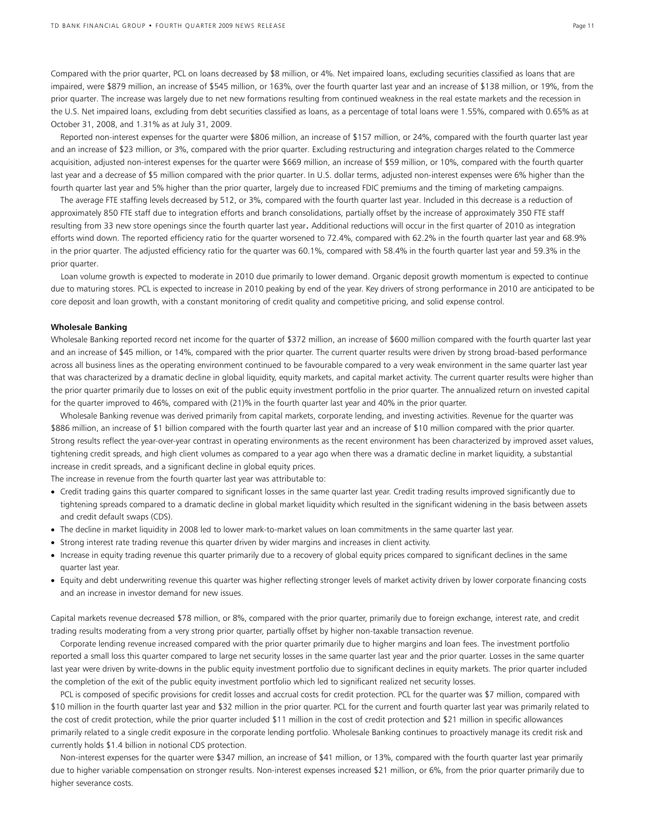Compared with the prior quarter, PCL on loans decreased by \$8 million, or 4%. Net impaired loans, excluding securities classified as loans that are impaired, were \$879 million, an increase of \$545 million, or 163%, over the fourth quarter last year and an increase of \$138 million, or 19%, from the prior quarter. The increase was largely due to net new formations resulting from continued weakness in the real estate markets and the recession in the U.S. Net impaired loans, excluding from debt securities classified as loans, as a percentage of total loans were 1.55%, compared with 0.65% as at October 31, 2008, and 1.31% as at July 31, 2009.

 Reported non-interest expenses for the quarter were \$806 million, an increase of \$157 million, or 24%, compared with the fourth quarter last year and an increase of \$23 million, or 3%, compared with the prior quarter. Excluding restructuring and integration charges related to the Commerce acquisition, adjusted non-interest expenses for the quarter were \$669 million, an increase of \$59 million, or 10%, compared with the fourth quarter last year and a decrease of \$5 million compared with the prior quarter. In U.S. dollar terms, adjusted non-interest expenses were 6% higher than the fourth quarter last year and 5% higher than the prior quarter, largely due to increased FDIC premiums and the timing of marketing campaigns.

 The average FTE staffing levels decreased by 512, or 3%, compared with the fourth quarter last year. Included in this decrease is a reduction of approximately 850 FTE staff due to integration efforts and branch consolidations, partially offset by the increase of approximately 350 FTE staff resulting from 33 new store openings since the fourth quarter last year. Additional reductions will occur in the first quarter of 2010 as integration efforts wind down. The reported efficiency ratio for the quarter worsened to 72.4%, compared with 62.2% in the fourth quarter last year and 68.9% in the prior quarter. The adjusted efficiency ratio for the quarter was 60.1%, compared with 58.4% in the fourth quarter last year and 59.3% in the prior quarter.

Loan volume growth is expected to moderate in 2010 due primarily to lower demand. Organic deposit growth momentum is expected to continue due to maturing stores. PCL is expected to increase in 2010 peaking by end of the year. Key drivers of strong performance in 2010 are anticipated to be core deposit and loan growth, with a constant monitoring of credit quality and competitive pricing, and solid expense control.

# **Wholesale Banking**

Wholesale Banking reported record net income for the quarter of \$372 million, an increase of \$600 million compared with the fourth quarter last year and an increase of \$45 million, or 14%, compared with the prior quarter. The current quarter results were driven by strong broad-based performance across all business lines as the operating environment continued to be favourable compared to a very weak environment in the same quarter last year that was characterized by a dramatic decline in global liquidity, equity markets, and capital market activity. The current quarter results were higher than the prior quarter primarily due to losses on exit of the public equity investment portfolio in the prior quarter. The annualized return on invested capital for the quarter improved to 46%, compared with (21)% in the fourth quarter last year and 40% in the prior quarter.

Wholesale Banking revenue was derived primarily from capital markets, corporate lending, and investing activities. Revenue for the quarter was \$886 million, an increase of \$1 billion compared with the fourth quarter last year and an increase of \$10 million compared with the prior quarter. Strong results reflect the year-over-year contrast in operating environments as the recent environment has been characterized by improved asset values, tightening credit spreads, and high client volumes as compared to a year ago when there was a dramatic decline in market liquidity, a substantial increase in credit spreads, and a significant decline in global equity prices.

The increase in revenue from the fourth quarter last year was attributable to:

- Credit trading gains this quarter compared to significant losses in the same quarter last year. Credit trading results improved significantly due to tightening spreads compared to a dramatic decline in global market liquidity which resulted in the significant widening in the basis between assets and credit default swaps (CDS).
- The decline in market liquidity in 2008 led to lower mark-to-market values on loan commitments in the same quarter last year.
- Strong interest rate trading revenue this quarter driven by wider margins and increases in client activity.
- Increase in equity trading revenue this quarter primarily due to a recovery of global equity prices compared to significant declines in the same quarter last year.
- Equity and debt underwriting revenue this quarter was higher reflecting stronger levels of market activity driven by lower corporate financing costs and an increase in investor demand for new issues.

Capital markets revenue decreased \$78 million, or 8%, compared with the prior quarter, primarily due to foreign exchange, interest rate, and credit trading results moderating from a very strong prior quarter, partially offset by higher non-taxable transaction revenue.

 Corporate lending revenue increased compared with the prior quarter primarily due to higher margins and loan fees. The investment portfolio reported a small loss this quarter compared to large net security losses in the same quarter last year and the prior quarter. Losses in the same quarter last year were driven by write-downs in the public equity investment portfolio due to significant declines in equity markets. The prior quarter included the completion of the exit of the public equity investment portfolio which led to significant realized net security losses.

PCL is composed of specific provisions for credit losses and accrual costs for credit protection. PCL for the quarter was \$7 million, compared with \$10 million in the fourth quarter last year and \$32 million in the prior quarter. PCL for the current and fourth quarter last year was primarily related to the cost of credit protection, while the prior quarter included \$11 million in the cost of credit protection and \$21 million in specific allowances primarily related to a single credit exposure in the corporate lending portfolio. Wholesale Banking continues to proactively manage its credit risk and currently holds \$1.4 billion in notional CDS protection.

Non-interest expenses for the quarter were \$347 million, an increase of \$41 million, or 13%, compared with the fourth quarter last year primarily due to higher variable compensation on stronger results. Non-interest expenses increased \$21 million, or 6%, from the prior quarter primarily due to higher severance costs.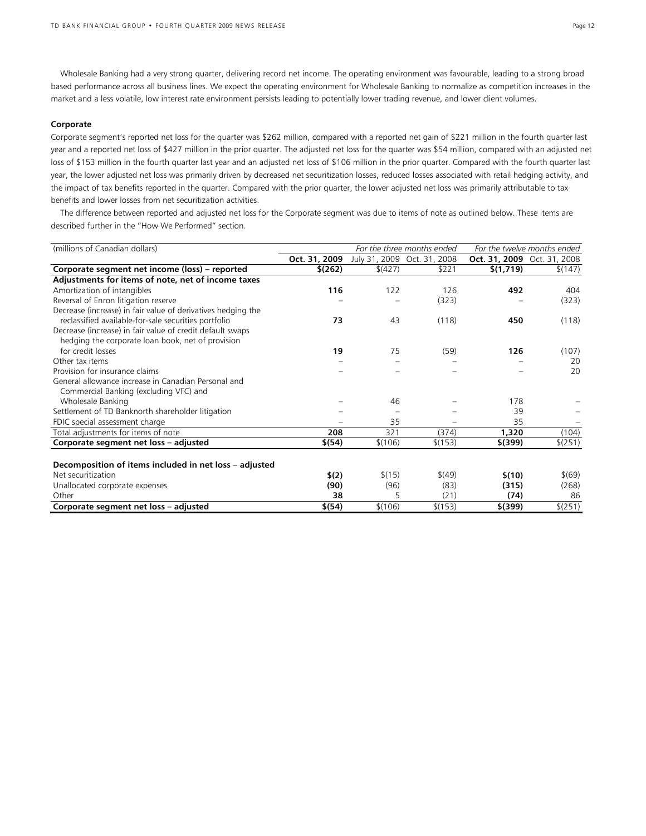Wholesale Banking had a very strong quarter, delivering record net income. The operating environment was favourable, leading to a strong broad based performance across all business lines. We expect the operating environment for Wholesale Banking to normalize as competition increases in the market and a less volatile, low interest rate environment persists leading to potentially lower trading revenue, and lower client volumes.

## **Corporate**

Corporate segment's reported net loss for the quarter was \$262 million, compared with a reported net gain of \$221 million in the fourth quarter last year and a reported net loss of \$427 million in the prior quarter. The adjusted net loss for the quarter was \$54 million, compared with an adjusted net loss of \$153 million in the fourth quarter last year and an adjusted net loss of \$106 million in the prior quarter. Compared with the fourth quarter last year, the lower adjusted net loss was primarily driven by decreased net securitization losses, reduced losses associated with retail hedging activity, and the impact of tax benefits reported in the quarter. Compared with the prior quarter, the lower adjusted net loss was primarily attributable to tax benefits and lower losses from net securitization activities.

The difference between reported and adjusted net loss for the Corporate segment was due to items of note as outlined below. These items are described further in the "How We Performed" section.

| (millions of Canadian dollars)                               |               |         | For the three months ended  |                             | For the twelve months ended |
|--------------------------------------------------------------|---------------|---------|-----------------------------|-----------------------------|-----------------------------|
|                                                              | Oct. 31, 2009 |         | July 31, 2009 Oct. 31, 2008 | Oct. 31, 2009 Oct. 31, 2008 |                             |
| Corporate segment net income (loss) - reported               | \$(262)       | \$(427) | \$221                       | \$(1,719)                   | \$(147)                     |
| Adjustments for items of note, net of income taxes           |               |         |                             |                             |                             |
| Amortization of intangibles                                  | 116           | 122     | 126                         | 492                         | 404                         |
| Reversal of Enron litigation reserve                         |               |         | (323)                       |                             | (323)                       |
| Decrease (increase) in fair value of derivatives hedging the |               |         |                             |                             |                             |
| reclassified available-for-sale securities portfolio         | 73            | 43      | (118)                       | 450                         | (118)                       |
| Decrease (increase) in fair value of credit default swaps    |               |         |                             |                             |                             |
| hedging the corporate loan book, net of provision            |               |         |                             |                             |                             |
| for credit losses                                            | 19            | 75      | (59)                        | 126                         | (107)                       |
| Other tax items                                              |               |         |                             |                             | 20                          |
| Provision for insurance claims                               |               |         |                             |                             | 20                          |
| General allowance increase in Canadian Personal and          |               |         |                             |                             |                             |
| Commercial Banking (excluding VFC) and                       |               |         |                             |                             |                             |
| Wholesale Banking                                            |               | 46      |                             | 178                         |                             |
| Settlement of TD Banknorth shareholder litigation            |               |         |                             | 39                          |                             |
| FDIC special assessment charge                               |               | 35      |                             | 35                          |                             |
| Total adjustments for items of note                          | 208           | 321     | (374)                       | 1,320                       | (104)                       |
| Corporate segment net loss - adjusted                        | \$(54)        | \$(106) | \$(153)                     | $$^{(399)}$                 | \$(251)                     |
|                                                              |               |         |                             |                             |                             |
| Decomposition of items included in net loss - adjusted       |               |         |                             |                             |                             |
| Net securitization                                           | \$(2)         | \$(15)  | \$(49)                      | \$(10)                      | \$(69)                      |
| Unallocated corporate expenses                               | (90)          | (96)    | (83)                        | (315)                       | (268)                       |
| Other                                                        | 38            | 5       | (21)                        | (74)                        | 86                          |
| Corporate segment net loss - adjusted                        | \$(54)        | \$(106) | \$(153)                     | $$$ (399)                   | \$(251)                     |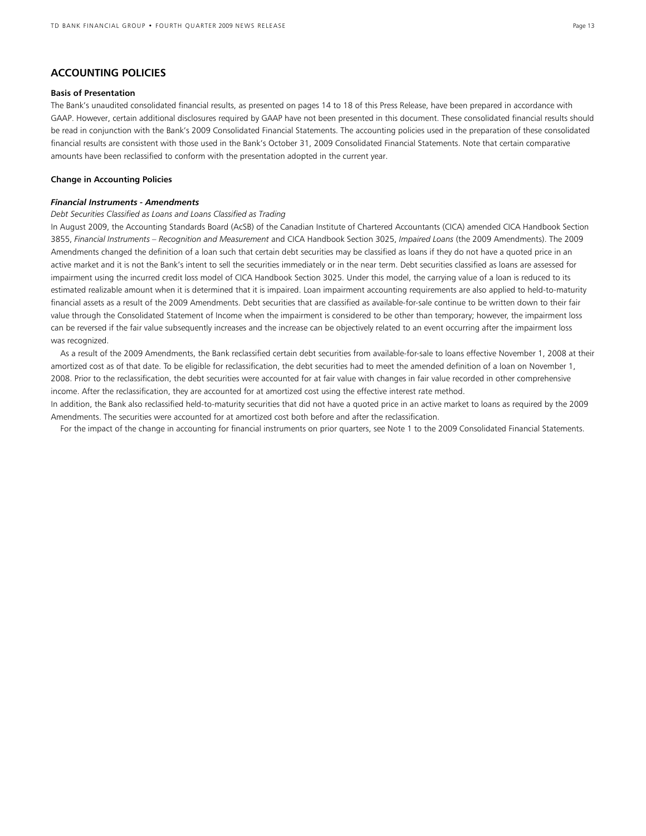# **ACCOUNTING POLICIES**

## **Basis of Presentation**

The Bank's unaudited consolidated financial results, as presented on pages 14 to 18 of this Press Release, have been prepared in accordance with GAAP. However, certain additional disclosures required by GAAP have not been presented in this document. These consolidated financial results should be read in conjunction with the Bank's 2009 Consolidated Financial Statements. The accounting policies used in the preparation of these consolidated financial results are consistent with those used in the Bank's October 31, 2009 Consolidated Financial Statements. Note that certain comparative amounts have been reclassified to conform with the presentation adopted in the current year.

#### **Change in Accounting Policies**

#### *Financial Instruments - Amendments*

# *Debt Securities Classified as Loans and Loans Classified as Trading*

In August 2009, the Accounting Standards Board (AcSB) of the Canadian Institute of Chartered Accountants (CICA) amended CICA Handbook Section 3855, *Financial Instruments – Recognition and Measurement* and CICA Handbook Section 3025, *Impaired Loans* (the 2009 Amendments). The 2009 Amendments changed the definition of a loan such that certain debt securities may be classified as loans if they do not have a quoted price in an active market and it is not the Bank's intent to sell the securities immediately or in the near term. Debt securities classified as loans are assessed for impairment using the incurred credit loss model of CICA Handbook Section 3025. Under this model, the carrying value of a loan is reduced to its estimated realizable amount when it is determined that it is impaired. Loan impairment accounting requirements are also applied to held-to-maturity financial assets as a result of the 2009 Amendments. Debt securities that are classified as available-for-sale continue to be written down to their fair value through the Consolidated Statement of Income when the impairment is considered to be other than temporary; however, the impairment loss can be reversed if the fair value subsequently increases and the increase can be objectively related to an event occurring after the impairment loss was recognized.

As a result of the 2009 Amendments, the Bank reclassified certain debt securities from available-for-sale to loans effective November 1, 2008 at their amortized cost as of that date. To be eligible for reclassification, the debt securities had to meet the amended definition of a loan on November 1, 2008. Prior to the reclassification, the debt securities were accounted for at fair value with changes in fair value recorded in other comprehensive income. After the reclassification, they are accounted for at amortized cost using the effective interest rate method.

In addition, the Bank also reclassified held-to-maturity securities that did not have a quoted price in an active market to loans as required by the 2009 Amendments. The securities were accounted for at amortized cost both before and after the reclassification.

For the impact of the change in accounting for financial instruments on prior quarters, see Note 1 to the 2009 Consolidated Financial Statements.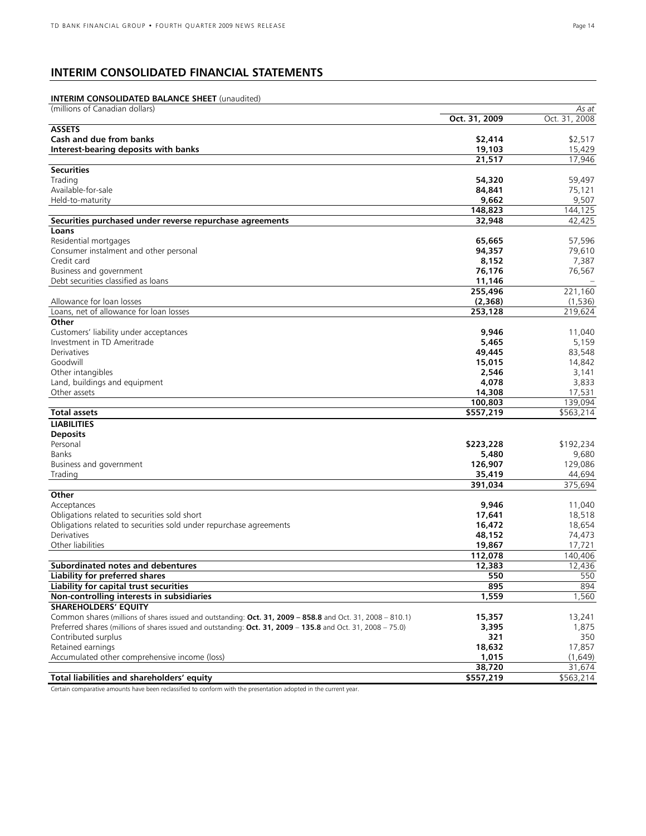# **INTERIM CONSOLIDATED FINANCIAL STATEMENTS**

# **INTERIM CONSOLIDATED BALANCE SHEET** (unaudited)

| (millions of Canadian dollars)                                                                               |               | As at         |
|--------------------------------------------------------------------------------------------------------------|---------------|---------------|
|                                                                                                              | Oct. 31, 2009 | Oct. 31, 2008 |
| <b>ASSETS</b>                                                                                                |               |               |
| Cash and due from banks                                                                                      | \$2,414       | \$2,517       |
| Interest-bearing deposits with banks                                                                         | 19,103        | 15,429        |
|                                                                                                              | 21,517        | 17,946        |
| <b>Securities</b>                                                                                            |               |               |
| Trading                                                                                                      | 54,320        | 59,497        |
| Available-for-sale                                                                                           | 84,841        | 75,121        |
| Held-to-maturity                                                                                             | 9,662         | 9,507         |
|                                                                                                              | 148,823       | 144,125       |
| Securities purchased under reverse repurchase agreements                                                     | 32,948        | 42,425        |
| Loans                                                                                                        |               |               |
| Residential mortgages                                                                                        | 65,665        | 57,596        |
| Consumer instalment and other personal                                                                       | 94,357        | 79,610        |
| Credit card                                                                                                  | 8,152         | 7,387         |
| Business and government                                                                                      | 76,176        | 76,567        |
| Debt securities classified as loans                                                                          | 11,146        |               |
|                                                                                                              | 255,496       | 221,160       |
| Allowance for loan losses                                                                                    | (2,368)       | (1, 536)      |
| Loans, net of allowance for loan losses                                                                      | 253,128       | 219,624       |
| Other                                                                                                        |               |               |
| Customers' liability under acceptances                                                                       | 9,946         | 11,040        |
| Investment in TD Ameritrade                                                                                  | 5,465         | 5,159         |
| Derivatives                                                                                                  | 49,445        | 83,548        |
| Goodwill                                                                                                     | 15,015        | 14,842        |
| Other intangibles                                                                                            | 2,546         | 3,141         |
| Land, buildings and equipment                                                                                | 4,078         | 3,833         |
| Other assets                                                                                                 | 14,308        | 17,531        |
|                                                                                                              | 100,803       | 139.094       |
| <b>Total assets</b>                                                                                          | \$557,219     | \$563,214     |
| <b>LIABILITIES</b>                                                                                           |               |               |
| <b>Deposits</b>                                                                                              |               |               |
| Personal                                                                                                     | \$223,228     | \$192,234     |
| Banks                                                                                                        | 5,480         | 9,680         |
| Business and government                                                                                      | 126,907       | 129,086       |
| Trading                                                                                                      | 35,419        | 44,694        |
|                                                                                                              | 391,034       | 375,694       |
| Other                                                                                                        |               |               |
| Acceptances                                                                                                  | 9,946         | 11,040        |
| Obligations related to securities sold short                                                                 | 17,641        | 18,518        |
| Obligations related to securities sold under repurchase agreements                                           | 16,472        | 18,654        |
| Derivatives                                                                                                  | 48,152        | 74,473        |
| Other liabilities                                                                                            | 19,867        | 17,721        |
|                                                                                                              | 112,078       | 140,406       |
| <b>Subordinated notes and debentures</b>                                                                     | 12,383        | 12,436        |
| <b>Liability for preferred shares</b>                                                                        | 550           | 550           |
| Liability for capital trust securities                                                                       | 895           | 894           |
| Non-controlling interests in subsidiaries                                                                    | 1,559         | 1,560         |
| <b>SHAREHOLDERS' EQUITY</b>                                                                                  |               |               |
| Common shares (millions of shares issued and outstanding: Oct. 31, 2009 - 858.8 and Oct. 31, 2008 - 810.1)   | 15,357        | 13,241        |
| Preferred shares (millions of shares issued and outstanding: Oct. 31, 2009 - 135.8 and Oct. 31, 2008 - 75.0) | 3,395         | 1,875         |
| Contributed surplus                                                                                          | 321           | 350           |
| Retained earnings                                                                                            | 18,632        | 17,857        |
| Accumulated other comprehensive income (loss)                                                                | 1,015         | (1,649)       |
|                                                                                                              | 38,720        | 31,674        |
| Total liabilities and shareholders' equity                                                                   | \$557,219     | \$563,214     |
|                                                                                                              |               |               |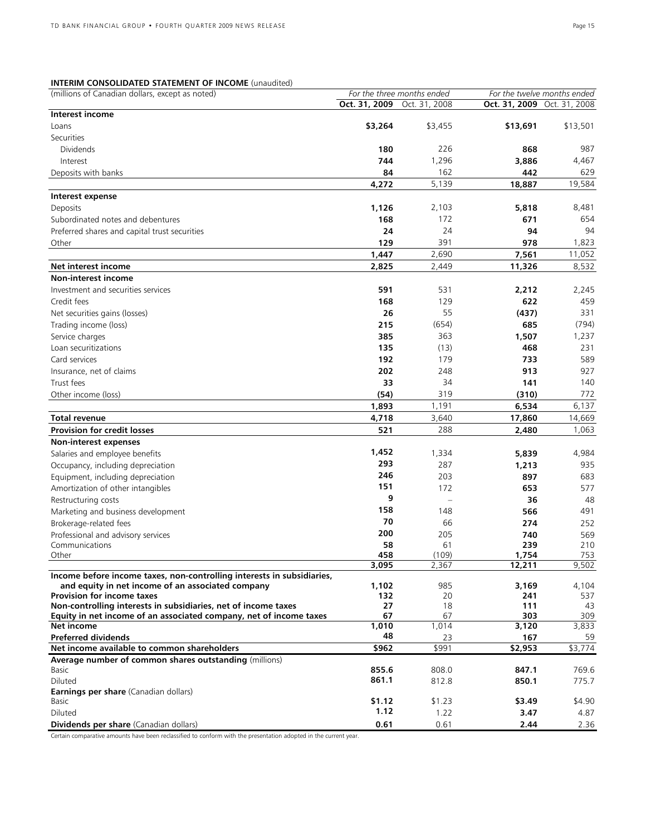# **INTERIM CONSOLIDATED STATEMENT OF INCOME** (unaudited)

| (millions of Canadian dollars, except as noted)                                  |               | For the three months ended |                             | For the twelve months ended |
|----------------------------------------------------------------------------------|---------------|----------------------------|-----------------------------|-----------------------------|
|                                                                                  | Oct. 31, 2009 | Oct. 31, 2008              | Oct. 31, 2009 Oct. 31, 2008 |                             |
| Interest income                                                                  |               |                            |                             |                             |
| Loans                                                                            | \$3,264       | \$3,455                    | \$13,691                    | \$13,501                    |
| Securities                                                                       |               |                            |                             |                             |
| <b>Dividends</b>                                                                 | 180           | 226                        | 868                         | 987                         |
| Interest                                                                         | 744           | 1,296                      | 3,886                       | 4,467                       |
| Deposits with banks                                                              | 84            | 162                        | 442                         | 629                         |
|                                                                                  | 4,272         | 5,139                      | 18,887                      | 19,584                      |
| Interest expense                                                                 |               |                            |                             |                             |
| Deposits                                                                         | 1,126         | 2,103                      | 5,818                       | 8,481                       |
| Subordinated notes and debentures                                                | 168           | 172                        | 671                         | 654                         |
| Preferred shares and capital trust securities                                    | 24            | 24                         | 94                          | 94                          |
| Other                                                                            | 129           | 391                        | 978                         | 1,823                       |
|                                                                                  | 1,447         | 2,690                      | 7,561                       | 11,052                      |
| Net interest income                                                              | 2,825         | 2,449                      | 11,326                      | 8,532                       |
| <b>Non-interest income</b>                                                       |               |                            |                             |                             |
| Investment and securities services                                               | 591           | 531                        | 2,212                       | 2,245                       |
| Credit fees                                                                      | 168           | 129                        | 622                         | 459                         |
| Net securities gains (losses)                                                    | 26            | 55                         | (437)                       | 331                         |
| Trading income (loss)                                                            | 215           | (654)                      | 685                         | (794)                       |
| Service charges                                                                  | 385           | 363                        | 1,507                       | 1,237                       |
| Loan securitizations                                                             | 135           | (13)                       | 468                         | 231                         |
| Card services                                                                    | 192           | 179                        | 733                         | 589                         |
| Insurance, net of claims                                                         | 202           | 248                        | 913                         | 927                         |
| Trust fees                                                                       | 33            | 34                         | 141                         | 140                         |
| Other income (loss)                                                              | (54)          | 319                        | (310)                       | 772                         |
|                                                                                  | 1,893         | 1,191                      | 6,534                       | 6,137                       |
| Total revenue                                                                    | 4,718         | 3,640                      | 17,860                      | 14,669                      |
| <b>Provision for credit losses</b>                                               | 521           | 288                        | 2,480                       | 1,063                       |
| Non-interest expenses                                                            |               |                            |                             |                             |
| Salaries and employee benefits                                                   | 1,452         | 1,334                      | 5,839                       | 4,984                       |
| Occupancy, including depreciation                                                | 293           | 287                        | 1,213                       | 935                         |
| Equipment, including depreciation                                                | 246           | 203                        | 897                         | 683                         |
| Amortization of other intangibles                                                | 151           | 172                        | 653                         | 577                         |
| Restructuring costs                                                              | 9             |                            | 36                          | 48                          |
| Marketing and business development                                               | 158           | 148                        | 566                         | 491                         |
| Brokerage-related fees                                                           | 70            | 66                         | 274                         | 252                         |
| Professional and advisory services                                               | 200           | 205                        | 740                         | 569                         |
| Communications                                                                   | 58            | 61                         | 239                         | 210                         |
| Other                                                                            | 458           | (109)                      | 1,754                       | 753                         |
|                                                                                  | 3,095         | 2,367                      | 12,211                      | 9,502                       |
| Income before income taxes, non-controlling interests in subsidiaries,           |               |                            |                             |                             |
| and equity in net income of an associated company                                | 1,102         | 985                        | 3,169                       | 4,104                       |
| <b>Provision for income taxes</b>                                                | 132           | 20                         | 241                         | 537                         |
| Non-controlling interests in subsidiaries, net of income taxes                   | 27<br>67      | 18<br>67                   | 111<br>303                  | 43<br>309                   |
| Equity in net income of an associated company, net of income taxes<br>Net income | 1,010         | 1,014                      | 3,120                       | 3,833                       |
| <b>Preferred dividends</b>                                                       | 48            | 23                         | 167                         | 59                          |
| Net income available to common shareholders                                      | \$962         | \$991                      | \$2,953                     | \$3,774                     |
| Average number of common shares outstanding (millions)                           |               |                            |                             |                             |
| Basic                                                                            | 855.6         | 808.0                      | 847.1                       | 769.6                       |
| Diluted                                                                          | 861.1         | 812.8                      | 850.1                       | 775.7                       |
| Earnings per share (Canadian dollars)                                            |               |                            |                             |                             |
| Basic                                                                            | \$1.12        | \$1.23                     | \$3.49                      | \$4.90                      |
| Diluted                                                                          | 1.12          | 1.22                       | 3.47                        | 4.87                        |
| Dividends per share (Canadian dollars)                                           | 0.61          | 0.61                       | 2.44                        | 2.36                        |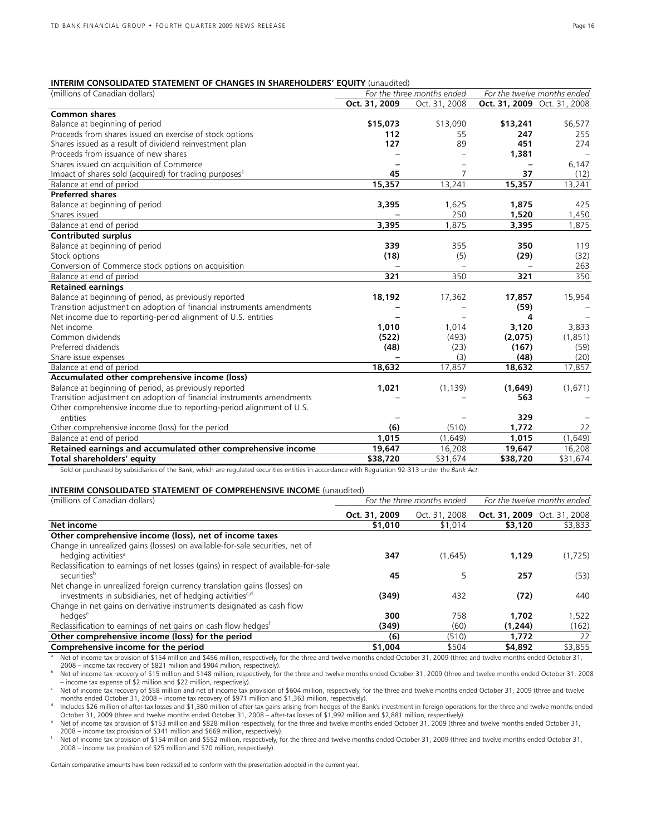#### **INTERIM CONSOLIDATED STATEMENT OF CHANGES IN SHAREHOLDERS' EQUITY** (unaudited)

| (millions of Canadian dollars)                                        | For the three months ended |               |                             | For the twelve months ended |
|-----------------------------------------------------------------------|----------------------------|---------------|-----------------------------|-----------------------------|
|                                                                       | Oct. 31, 2009              | Oct. 31, 2008 | Oct. 31, 2009 Oct. 31, 2008 |                             |
| <b>Common shares</b>                                                  |                            |               |                             |                             |
| Balance at beginning of period                                        | \$15,073                   | \$13,090      | \$13,241                    | \$6,577                     |
| Proceeds from shares issued on exercise of stock options              | 112                        | 55            | 247                         | 255                         |
| Shares issued as a result of dividend reinvestment plan               | 127                        | 89            | 451                         | 274                         |
| Proceeds from issuance of new shares                                  |                            |               | 1,381                       |                             |
| Shares issued on acquisition of Commerce                              |                            |               |                             | 6,147                       |
| Impact of shares sold (acquired) for trading purposes <sup>1</sup>    | 45                         | 7             | 37                          | (12)                        |
| Balance at end of period                                              | 15,357                     | 13,241        | 15,357                      | 13,241                      |
| <b>Preferred shares</b>                                               |                            |               |                             |                             |
| Balance at beginning of period                                        | 3,395                      | 1,625         | 1,875                       | 425                         |
| Shares issued                                                         |                            | 250           | 1,520                       | 1,450                       |
| Balance at end of period                                              | 3,395                      | 1,875         | 3,395                       | 1,875                       |
| <b>Contributed surplus</b>                                            |                            |               |                             |                             |
| Balance at beginning of period                                        | 339                        | 355           | 350                         | 119                         |
| Stock options                                                         | (18)                       | (5)           | (29)                        | (32)                        |
| Conversion of Commerce stock options on acquisition                   |                            |               |                             | 263                         |
| Balance at end of period                                              | 321                        | 350           | 321                         | 350                         |
| <b>Retained earnings</b>                                              |                            |               |                             |                             |
| Balance at beginning of period, as previously reported                | 18,192                     | 17,362        | 17,857                      | 15,954                      |
| Transition adjustment on adoption of financial instruments amendments |                            |               | (59)                        |                             |
| Net income due to reporting-period alignment of U.S. entities         |                            |               | 4                           |                             |
| Net income                                                            | 1,010                      | 1,014         | 3,120                       | 3,833                       |
| Common dividends                                                      | (522)                      | (493)         | (2,075)                     | (1,851)                     |
| Preferred dividends                                                   | (48)                       | (23)          | (167)                       | (59)                        |
| Share issue expenses                                                  |                            | (3)           | (48)                        | (20)                        |
| Balance at end of period                                              | 18,632                     | 17,857        | 18,632                      | 17,857                      |
| Accumulated other comprehensive income (loss)                         |                            |               |                             |                             |
| Balance at beginning of period, as previously reported                | 1,021                      | (1, 139)      | (1,649)                     | (1,671)                     |
| Transition adjustment on adoption of financial instruments amendments |                            |               | 563                         |                             |
| Other comprehensive income due to reporting-period alignment of U.S.  |                            |               |                             |                             |
| entities                                                              |                            |               | 329                         |                             |
| Other comprehensive income (loss) for the period                      | (6)                        | (510)         | 1,772                       | 22                          |
| Balance at end of period                                              | 1,015                      | (1,649)       | 1,015                       | (1,649)                     |
| Retained earnings and accumulated other comprehensive income          | 19,647                     | 16,208        | 19,647                      | 16,208                      |
| Total shareholders' equity                                            | \$38,720                   | \$31,674      | \$38,720                    | \$31,674                    |

<sup>1</sup> Sold or purchased by subsidiaries of the Bank, which are regulated securities entities in accordance with Regulation 92-313 under the *Bank Act.*

#### **INTERIM CONSOLIDATED STATEMENT OF COMPREHENSIVE INCOME** (unaudited)

| (millions of Canadian dollars)                                                      |               | For the three months ended | For the twelve months ended        |         |  |
|-------------------------------------------------------------------------------------|---------------|----------------------------|------------------------------------|---------|--|
|                                                                                     | Oct. 31, 2009 | Oct. 31, 2008              | <b>Oct. 31, 2009</b> Oct. 31, 2008 |         |  |
| Net income                                                                          | \$1,010       | \$1,014                    | \$3,120                            | \$3,833 |  |
| Other comprehensive income (loss), net of income taxes                              |               |                            |                                    |         |  |
| Change in unrealized gains (losses) on available-for-sale securities, net of        |               |                            |                                    |         |  |
| hedging activities <sup>a</sup>                                                     | 347           | (1.645)                    | 1.129                              | (1,725) |  |
| Reclassification to earnings of net losses (gains) in respect of available-for-sale |               |                            |                                    |         |  |
| securities <sup>b</sup>                                                             | 45            |                            | 257                                | (53)    |  |
| Net change in unrealized foreign currency translation gains (losses) on             |               |                            |                                    |         |  |
| investments in subsidiaries, net of hedging activities <sup>c,d</sup>               | (349)         | 432                        | (72)                               | 440     |  |
| Change in net gains on derivative instruments designated as cash flow               |               |                            |                                    |         |  |
| hedaes <sup>e</sup>                                                                 | 300           | 758                        | 1,702                              | 1,522   |  |
| Reclassification to earnings of net gains on cash flow hedges <sup>f</sup>          | (349)         | (60)                       | (1,244)                            | (162)   |  |
| Other comprehensive income (loss) for the period                                    | (6)           | (510)                      | 1.772                              | 22      |  |
| Comprehensive income for the period                                                 | \$1,004       | \$504                      | \$4,892                            | \$3,855 |  |

a Net of income tax provision of \$154 million and \$456 million, respectively, for the three and twelve months ended October 31, 2009 (three and twelve months ended October 31,

2008 – income tax recovery of \$821 million and \$904 million, respectively).<br>Net of income tax recovery of \$15 million and \$148 million, respectively, for the three and twelve months ended October 31, 2008 (three and twelve

Net of income tax recovery of \$58 million and net of income tax provision of \$604 million, respectively, for the three and twelve months ended October 31, 2009 (three and twelve

months ended October 31, 2008 – income tax recovery of \$971 million and \$1,363 million, respectively).<br>Includes \$26 million of after-tax losses and \$1,380 million of after-tax gains arising from hedges of the Bank's invest

Net of income tax provision of \$153 million and \$828 million respectively, for the three and twelve months ended October 31, 2009 (three and twelve months ended October 31, 2009 (three and twelve months ended October 31, 2

Net of income tax provision of \$154 million and \$552 million, respectively, for the three and twelve months ended October 31, 2009 (three and twelve months ended October 31, 2008 – income tax provision of \$25 million and \$70 million, respectively).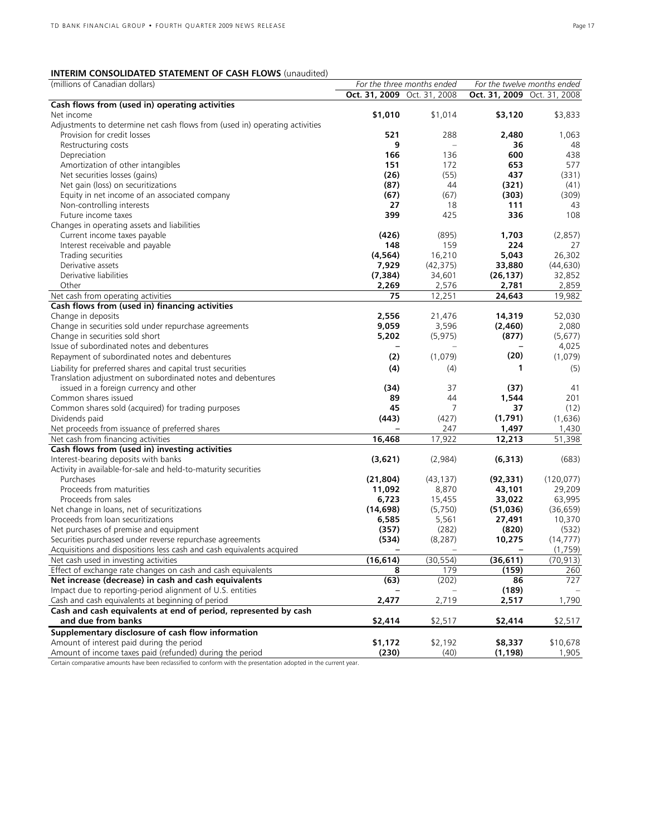# **INTERIM CONSOLIDATED STATEMENT OF CASH FLOWS** (unaudited)

| (millions of Canadian dollars)                                                                                       |                             | For the three months ended |                             | For the twelve months ended |
|----------------------------------------------------------------------------------------------------------------------|-----------------------------|----------------------------|-----------------------------|-----------------------------|
|                                                                                                                      | Oct. 31, 2009 Oct. 31, 2008 |                            | Oct. 31, 2009 Oct. 31, 2008 |                             |
| Cash flows from (used in) operating activities                                                                       |                             |                            |                             |                             |
| Net income                                                                                                           | \$1,010                     | \$1,014                    | \$3,120                     | \$3,833                     |
| Adjustments to determine net cash flows from (used in) operating activities                                          |                             |                            |                             |                             |
| Provision for credit losses                                                                                          | 521                         | 288                        | 2,480                       | 1,063                       |
| Restructuring costs                                                                                                  | 9                           | $\equiv$                   | 36                          | 48                          |
| Depreciation                                                                                                         | 166                         | 136                        | 600                         | 438                         |
| Amortization of other intangibles                                                                                    | 151                         | 172                        | 653                         | 577                         |
| Net securities losses (gains)                                                                                        | (26)                        | (55)                       | 437                         | (331)                       |
| Net gain (loss) on securitizations                                                                                   | (87)                        | 44                         | (321)                       | (41)                        |
| Equity in net income of an associated company                                                                        | (67)                        | (67)                       | (303)                       | (309)                       |
| Non-controlling interests                                                                                            | 27                          | 18                         | 111                         | 43                          |
| Future income taxes                                                                                                  | 399                         | 425                        | 336                         | 108                         |
| Changes in operating assets and liabilities                                                                          |                             |                            |                             |                             |
| Current income taxes payable                                                                                         | (426)                       | (895)                      | 1,703                       | (2,857)                     |
| Interest receivable and payable                                                                                      | 148                         | 159                        | 224                         | 27                          |
| Trading securities                                                                                                   | (4, 564)                    | 16,210                     | 5,043                       | 26,302                      |
| Derivative assets                                                                                                    | 7,929                       | (42, 375)                  | 33,880                      | (44, 630)                   |
| Derivative liabilities                                                                                               | (7, 384)                    | 34,601                     | (26, 137)                   | 32,852                      |
| Other                                                                                                                | 2,269                       | 2,576                      | 2,781                       | 2,859                       |
| Net cash from operating activities                                                                                   | 75                          | 12,251                     | 24,643                      | 19,982                      |
| Cash flows from (used in) financing activities                                                                       |                             |                            |                             |                             |
| Change in deposits                                                                                                   | 2,556                       | 21,476                     | 14,319                      | 52,030                      |
| Change in securities sold under repurchase agreements                                                                | 9,059                       | 3,596                      | (2,460)                     | 2,080                       |
| Change in securities sold short                                                                                      | 5,202                       | (5, 975)                   | (877)                       | (5,677)                     |
| Issue of subordinated notes and debentures                                                                           |                             |                            |                             | 4,025                       |
| Repayment of subordinated notes and debentures                                                                       | (2)                         | (1,079)                    | (20)                        | (1,079)                     |
| Liability for preferred shares and capital trust securities                                                          | (4)                         | (4)                        | 1                           | (5)                         |
| Translation adjustment on subordinated notes and debentures                                                          |                             |                            |                             |                             |
| issued in a foreign currency and other                                                                               | (34)                        | 37                         | (37)                        | 41                          |
| Common shares issued                                                                                                 | 89                          | 44                         | 1,544                       | 201                         |
| Common shares sold (acquired) for trading purposes                                                                   | 45                          | 7                          | 37                          | (12)                        |
| Dividends paid                                                                                                       | (443)                       | (427)                      | (1,791)                     | (1,636)                     |
| Net proceeds from issuance of preferred shares                                                                       |                             | 247                        | 1,497                       | 1,430                       |
| Net cash from financing activities                                                                                   | 16,468                      | 17,922                     | 12,213                      | 51,398                      |
| Cash flows from (used in) investing activities                                                                       |                             |                            |                             |                             |
| Interest-bearing deposits with banks                                                                                 | (3,621)                     | (2,984)                    | (6, 313)                    | (683)                       |
| Activity in available-for-sale and held-to-maturity securities                                                       |                             |                            |                             |                             |
| Purchases                                                                                                            | (21, 804)                   | (43, 137)                  | (92, 331)                   | (120, 077)                  |
| Proceeds from maturities                                                                                             | 11,092                      | 8,870                      | 43,101                      | 29,209                      |
| Proceeds from sales                                                                                                  | 6,723                       | 15,455                     | 33,022                      | 63,995                      |
| Net change in loans, net of securitizations                                                                          | (14, 698)                   | (5,750)                    | (51,036)                    | (36, 659)                   |
| Proceeds from loan securitizations                                                                                   | 6,585                       | 5,561                      | 27,491                      | 10,370                      |
| Net purchases of premise and equipment                                                                               | (357)                       | (282)                      | (820)                       | (532)                       |
| Securities purchased under reverse repurchase agreements                                                             | (534)                       | (8, 287)                   | 10,275                      | (14, 777)                   |
| Acquisitions and dispositions less cash and cash equivalents acquired<br>Net cash used in investing activities       |                             |                            |                             | (1,759)                     |
|                                                                                                                      | (16, 614)<br>8              | (30, 554)                  | (36, 611)                   | (70, 913)                   |
| Effect of exchange rate changes on cash and cash equivalents<br>Net increase (decrease) in cash and cash equivalents |                             | 179                        | (159)<br>86                 | 260<br>727                  |
| Impact due to reporting-period alignment of U.S. entities                                                            | (63)                        | (202)                      | (189)                       |                             |
|                                                                                                                      |                             |                            |                             |                             |
| Cash and cash equivalents at beginning of period<br>Cash and cash equivalents at end of period, represented by cash  | 2,477                       | 2,719                      | 2,517                       | 1,790                       |
| and due from banks                                                                                                   | \$2,414                     | \$2,517                    | \$2,414                     | \$2,517                     |
| Supplementary disclosure of cash flow information                                                                    |                             |                            |                             |                             |
| Amount of interest paid during the period                                                                            |                             |                            |                             |                             |
| Amount of income taxes paid (refunded) during the period                                                             | \$1,172<br>(230)            | \$2,192<br>(40)            | \$8,337<br>(1, 198)         | \$10,678<br>1,905           |
|                                                                                                                      |                             |                            |                             |                             |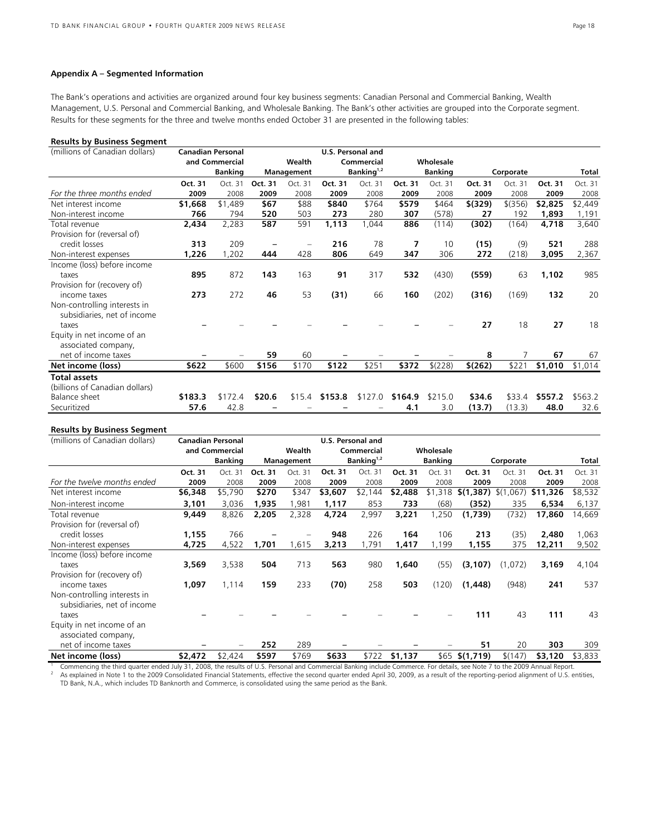# **Appendix A – Segmented Information**

The Bank's operations and activities are organized around four key business segments: Canadian Personal and Commercial Banking, Wealth Management, U.S. Personal and Commercial Banking, and Wholesale Banking. The Bank's other activities are grouped into the Corporate segment. Results for these segments for the three and twelve months ended October 31 are presented in the following tables:

#### **Results by Business Segment**

| (millions of Canadian dollars)                              | <b>Canadian Personal</b> |                |         |            | <b>U.S. Personal and</b> |               |         |                |          |           |         |         |
|-------------------------------------------------------------|--------------------------|----------------|---------|------------|--------------------------|---------------|---------|----------------|----------|-----------|---------|---------|
|                                                             |                          | and Commercial |         | Wealth     |                          | Commercial    |         | Wholesale      |          |           |         |         |
|                                                             |                          | <b>Banking</b> |         | Management |                          | Banking $1,2$ |         | <b>Banking</b> |          | Corporate |         | Total   |
|                                                             | Oct. 31                  | Oct. 31        | Oct. 31 | Oct. 31    | Oct. 31                  | Oct. 31       | Oct. 31 | Oct. 31        | Oct. 31  | Oct. 31   | Oct. 31 | Oct. 31 |
| For the three months ended                                  | 2009                     | 2008           | 2009    | 2008       | 2009                     | 2008          | 2009    | 2008           | 2009     | 2008      | 2009    | 2008    |
| Net interest income                                         | \$1,668                  | \$1,489        | \$67    | \$88       | \$840                    | \$764         | \$579   | \$464          | \$ (329) | $$$ (356) | \$2,825 | \$2,449 |
| Non-interest income                                         | 766                      | 794            | 520     | 503        | 273                      | 280           | 307     | (578)          | 27       | 192       | 1,893   | 1,191   |
| Total revenue                                               | 2,434                    | 2,283          | 587     | 591        | 1,113                    | 1,044         | 886     | (114)          | (302)    | (164)     | 4,718   | 3,640   |
| Provision for (reversal of)                                 |                          |                |         |            |                          |               |         |                |          |           |         |         |
| credit losses                                               | 313                      | 209            |         |            | 216                      | 78            | 7       | 10             | (15)     | (9)       | 521     | 288     |
| Non-interest expenses                                       | 1,226                    | 1,202          | 444     | 428        | 806                      | 649           | 347     | 306            | 272      | (218)     | 3,095   | 2,367   |
| Income (loss) before income                                 |                          |                |         |            |                          |               |         |                |          |           |         |         |
| taxes                                                       | 895                      | 872            | 143     | 163        | 91                       | 317           | 532     | (430)          | (559)    | 63        | 1,102   | 985     |
| Provision for (recovery of)                                 |                          |                |         |            |                          |               |         |                |          |           |         |         |
| income taxes                                                | 273                      | 272            | 46      | 53         | (31)                     | 66            | 160     | (202)          | (316)    | (169)     | 132     | 20      |
| Non-controlling interests in<br>subsidiaries, net of income |                          |                |         |            |                          |               |         |                |          |           |         |         |
| taxes                                                       |                          |                |         |            |                          |               |         |                | 27       | 18        | 27      | 18      |
| Equity in net income of an                                  |                          |                |         |            |                          |               |         |                |          |           |         |         |
| associated company,                                         |                          |                |         |            |                          |               |         |                |          |           |         |         |
| net of income taxes                                         |                          |                | 59      | 60         |                          |               |         |                | 8        | 7         | 67      | 67      |
| Net income (loss)                                           | \$622                    | \$600          | \$156   | \$170      | \$122                    | \$251         | \$372   | \$(228)        | \$(262)  | \$221     | \$1,010 | \$1,014 |
| <b>Total assets</b>                                         |                          |                |         |            |                          |               |         |                |          |           |         |         |
| (billions of Canadian dollars)                              |                          |                |         |            |                          |               |         |                |          |           |         |         |
| Balance sheet                                               | \$183.3                  | \$172.4        | \$20.6  |            | $$15.4$ \$153.8          | \$127.0       | \$164.9 | \$215.0        | \$34.6   | \$33.4    | \$557.2 | \$563.2 |
| Securitized                                                 | 57.6                     | 42.8           |         |            |                          |               | 4.1     | 3.0            | (13.7)   | (13.3)    | 48.0    | 32.6    |

# **Results by Business Segment**

| (millions of Canadian dollars) | <b>Canadian Personal</b> |                |         |            | U.S. Personal and |               |           |                |                 |                |          |         |
|--------------------------------|--------------------------|----------------|---------|------------|-------------------|---------------|-----------|----------------|-----------------|----------------|----------|---------|
|                                |                          | and Commercial |         | Wealth     | Commercial        |               | Wholesale |                |                 |                |          |         |
|                                |                          | <b>Banking</b> |         | Management |                   | Banking $1,2$ |           | <b>Banking</b> |                 | Corporate      |          | Total   |
|                                | Oct. 31                  | Oct. 31        | Oct. 31 | Oct. 31    | Oct. 31           | Oct. 31       | Oct. 31   | Oct. 31        | Oct. 31         | Oct. 31        | Oct. 31  | Oct. 31 |
| For the twelve months ended    | 2009                     | 2008           | 2009    | 2008       | 2009              | 2008          | 2009      | 2008           | 2009            | 2008           | 2009     | 2008    |
| Net interest income            | \$6,348                  | \$5,790        | \$270   | \$347      | \$3,607           | \$2,144       | \$2,488   | \$1,318        | \$(1,387)       | \$(1)<br>.067) | \$11,326 | \$8,532 |
| Non-interest income            | 3,101                    | 3,036          | 1,935   | 1,981      | 1,117             | 853           | 733       | (68)           | (352)           | 335            | 6,534    | 6,137   |
| Total revenue                  | 9,449                    | 8,826          | 2,205   | 2,328      | 4,724             | 2,997         | 3,221     | 1,250          | (1,739)         | (732)          | 17,860   | 14,669  |
| Provision for (reversal of)    |                          |                |         |            |                   |               |           |                |                 |                |          |         |
| credit losses                  | 1,155                    | 766            |         |            | 948               | 226           | 164       | 106            | 213             | (35)           | 2,480    | 1,063   |
| Non-interest expenses          | 4,725                    | 4,522          | 1,701   | 1,615      | 3,213             | 1,791         | 1,417     | 1,199          | 1,155           | 375            | 12,211   | 9,502   |
| Income (loss) before income    |                          |                |         |            |                   |               |           |                |                 |                |          |         |
| taxes                          | 3,569                    | 3,538          | 504     | 713        | 563               | 980           | 1,640     | (55)           | (3, 107)        | (1,072)        | 3,169    | 4,104   |
| Provision for (recovery of)    |                          |                |         |            |                   |               |           |                |                 |                |          |         |
| income taxes                   | 1,097                    | 1,114          | 159     | 233        | (70)              | 258           | 503       | (120)          | (1,448)         | (948)          | 241      | 537     |
| Non-controlling interests in   |                          |                |         |            |                   |               |           |                |                 |                |          |         |
| subsidiaries, net of income    |                          |                |         |            |                   |               |           |                |                 |                |          |         |
| taxes                          |                          |                |         |            |                   |               |           |                | 111             | 43             | 111      | 43      |
| Equity in net income of an     |                          |                |         |            |                   |               |           |                |                 |                |          |         |
| associated company,            |                          |                |         |            |                   |               |           |                |                 |                |          |         |
| net of income taxes            |                          |                | 252     | 289        |                   |               |           |                | 51              | 20             | 303      | 309     |
| Net income (loss)              | \$2,472                  | \$2,424        | \$597   | \$769      | \$633             | \$722         | \$1,137   |                | $$65$ \$(1,719) | \$(147)        | \$3,120  | \$3,833 |

<sup>1</sup> Commencing the third quarter ended July 31, 2008, the results of U.S. Personal and Commercial Banking include Commerce. For details, see Note 7 to the 2009 Annual Report. As explained in Note 1 to the 2009 Consolidated Financial Statements, effective the second quarter ended April 30, 2009, as a result of the reporting-period alignment of U.S. entities, TD Bank, N.A., which includes TD Banknorth and Commerce, is consolidated using the same period as the Bank.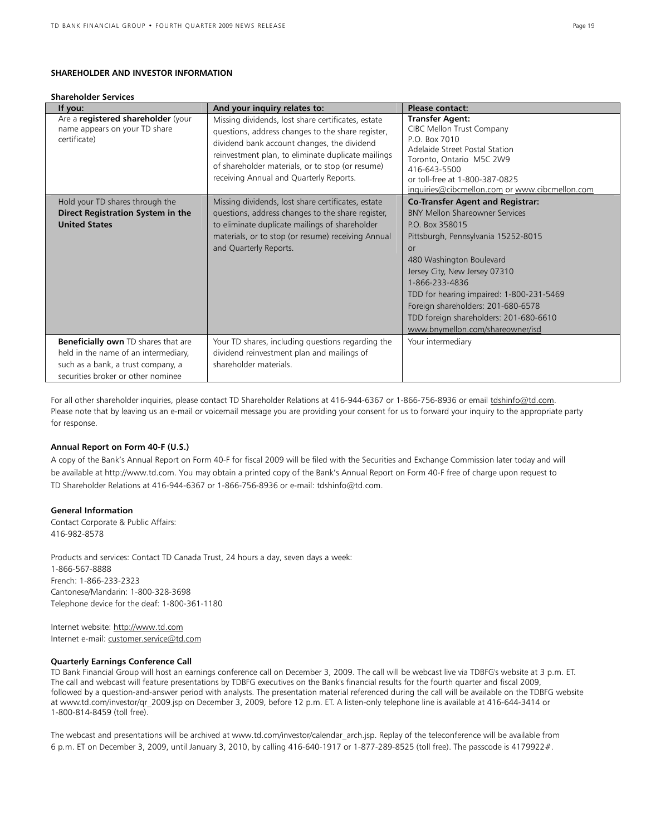# **SHAREHOLDER AND INVESTOR INFORMATION**

#### **Shareholder Services**

| If you:                                                                                                                                                        | And your inquiry relates to:                                                                                                                                                                                                                                                                                | Please contact:                                                                                                                                                                                                                                                                                                                                                                                 |
|----------------------------------------------------------------------------------------------------------------------------------------------------------------|-------------------------------------------------------------------------------------------------------------------------------------------------------------------------------------------------------------------------------------------------------------------------------------------------------------|-------------------------------------------------------------------------------------------------------------------------------------------------------------------------------------------------------------------------------------------------------------------------------------------------------------------------------------------------------------------------------------------------|
| Are a registered shareholder (your<br>name appears on your TD share<br>certificate)                                                                            | Missing dividends, lost share certificates, estate<br>questions, address changes to the share register,<br>dividend bank account changes, the dividend<br>reinvestment plan, to eliminate duplicate mailings<br>of shareholder materials, or to stop (or resume)<br>receiving Annual and Quarterly Reports. | <b>Transfer Agent:</b><br>CIBC Mellon Trust Company<br>P.O. Box 7010<br>Adelaide Street Postal Station<br>Toronto, Ontario M5C 2W9<br>416-643-5500<br>or toll-free at 1-800-387-0825<br>inquiries@cibcmellon.com or www.cibcmellon.com                                                                                                                                                          |
| Hold your TD shares through the<br>Direct Registration System in the<br><b>United States</b>                                                                   | Missing dividends, lost share certificates, estate<br>questions, address changes to the share register,<br>to eliminate duplicate mailings of shareholder<br>materials, or to stop (or resume) receiving Annual<br>and Quarterly Reports.                                                                   | <b>Co-Transfer Agent and Registrar:</b><br><b>BNY Mellon Shareowner Services</b><br>P.O. Box 358015<br>Pittsburgh, Pennsylvania 15252-8015<br>or<br>480 Washington Boulevard<br>Jersey City, New Jersey 07310<br>1-866-233-4836<br>TDD for hearing impaired: 1-800-231-5469<br>Foreign shareholders: 201-680-6578<br>TDD foreign shareholders: 201-680-6610<br>www.bnymellon.com/shareowner/isd |
| <b>Beneficially own</b> TD shares that are<br>held in the name of an intermediary,<br>such as a bank, a trust company, a<br>securities broker or other nominee | Your TD shares, including questions regarding the<br>dividend reinvestment plan and mailings of<br>shareholder materials                                                                                                                                                                                    | Your intermediary                                                                                                                                                                                                                                                                                                                                                                               |

For all other shareholder inquiries, please contact TD Shareholder Relations at 416-944-6367 or 1-866-756-8936 or email tdshinfo@td.com. Please note that by leaving us an e-mail or voicemail message you are providing your consent for us to forward your inquiry to the appropriate party for response.

## **Annual Report on Form 40-F (U.S.)**

A copy of the Bank's Annual Report on Form 40-F for fiscal 2009 will be filed with the Securities and Exchange Commission later today and will be available at http://www.td.com. You may obtain a printed copy of the Bank's Annual Report on Form 40-F free of charge upon request to TD Shareholder Relations at 416-944-6367 or 1-866-756-8936 or e-mail: tdshinfo@td.com.

## **General Information**

Contact Corporate & Public Affairs: 416-982-8578

Products and services: Contact TD Canada Trust, 24 hours a day, seven days a week: 1-866-567-8888 French: 1-866-233-2323 Cantonese/Mandarin: 1-800-328-3698 Telephone device for the deaf: 1-800-361-1180

Internet website: http://www.td.com Internet e-mail: customer.service@td.com

# **Quarterly Earnings Conference Call**

TD Bank Financial Group will host an earnings conference call on December 3, 2009. The call will be webcast live via TDBFG's website at 3 p.m. ET. The call and webcast will feature presentations by TDBFG executives on the Bank's financial results for the fourth quarter and fiscal 2009, followed by a question-and-answer period with analysts. The presentation material referenced during the call will be available on the TDBFG website at www.td.com/investor/qr\_2009.jsp on December 3, 2009, before 12 p.m. ET. A listen-only telephone line is available at 416-644-3414 or 1-800-814-8459 (toll free).

The webcast and presentations will be archived at www.td.com/investor/calendar arch.jsp. Replay of the teleconference will be available from 6 p.m. ET on December 3, 2009, until January 3, 2010, by calling 416-640-1917 or 1-877-289-8525 (toll free). The passcode is 4179922#.